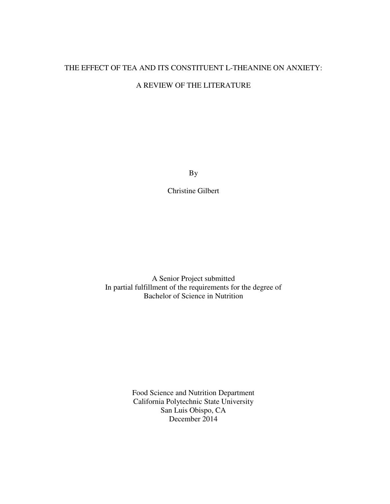# THE EFFECT OF TEA AND ITS CONSTITUENT L-THEANINE ON ANXIETY: A REVIEW OF THE LITERATURE

By

Christine Gilbert

A Senior Project submitted In partial fulfillment of the requirements for the degree of Bachelor of Science in Nutrition

> Food Science and Nutrition Department California Polytechnic State University San Luis Obispo, CA December 2014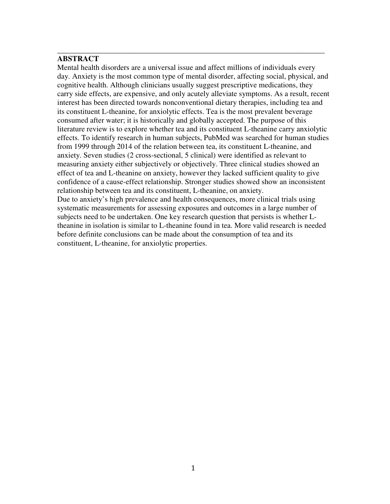# **ABSTRACT**

Mental health disorders are a universal issue and affect millions of individuals every day. Anxiety is the most common type of mental disorder, affecting social, physical, and cognitive health. Although clinicians usually suggest prescriptive medications, they carry side effects, are expensive, and only acutely alleviate symptoms. As a result, recent interest has been directed towards nonconventional dietary therapies, including tea and its constituent L-theanine, for anxiolytic effects. Tea is the most prevalent beverage consumed after water; it is historically and globally accepted. The purpose of this literature review is to explore whether tea and its constituent L-theanine carry anxiolytic effects. To identify research in human subjects, PubMed was searched for human studies from 1999 through 2014 of the relation between tea, its constituent L-theanine, and anxiety. Seven studies (2 cross-sectional, 5 clinical) were identified as relevant to measuring anxiety either subjectively or objectively. Three clinical studies showed an effect of tea and L-theanine on anxiety, however they lacked sufficient quality to give confidence of a cause-effect relationship. Stronger studies showed show an inconsistent relationship between tea and its constituent, L-theanine, on anxiety. Due to anxiety's high prevalence and health consequences, more clinical trials using systematic measurements for assessing exposures and outcomes in a large number of

\_\_\_\_\_\_\_\_\_\_\_\_\_\_\_\_\_\_\_\_\_\_\_\_\_\_\_\_\_\_\_\_\_\_\_\_\_\_\_\_\_\_\_\_\_\_\_\_\_\_\_\_\_\_\_\_\_\_\_\_\_\_\_\_\_\_\_\_\_\_

subjects need to be undertaken. One key research question that persists is whether Ltheanine in isolation is similar to L-theanine found in tea. More valid research is needed before definite conclusions can be made about the consumption of tea and its constituent, L-theanine, for anxiolytic properties.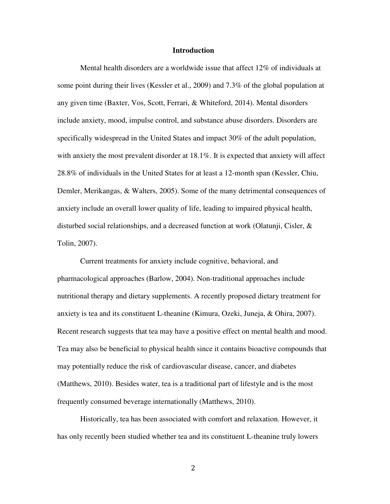## **Introduction**

Mental health disorders are a worldwide issue that affect 12% of individuals at some point during their lives (Kessler et al., 2009) and 7.3% of the global population at any given time (Baxter, Vos, Scott, Ferrari, & Whiteford, 2014). Mental disorders include anxiety, mood, impulse control, and substance abuse disorders. Disorders are specifically widespread in the United States and impact 30% of the adult population, with anxiety the most prevalent disorder at 18.1%. It is expected that anxiety will affect 28.8% of individuals in the United States for at least a 12-month span (Kessler, Chiu, Demler, Merikangas, & Walters, 2005). Some of the many detrimental consequences of anxiety include an overall lower quality of life, leading to impaired physical health, disturbed social relationships, and a decreased function at work (Olatunji, Cisler, & Tolin, 2007).

Current treatments for anxiety include cognitive, behavioral, and pharmacological approaches (Barlow, 2004). Non-traditional approaches include nutritional therapy and dietary supplements. A recently proposed dietary treatment for anxiety is tea and its constituent L-theanine (Kimura, Ozeki, Juneja, & Ohira, 2007). Recent research suggests that tea may have a positive effect on mental health and mood. Tea may also be beneficial to physical health since it contains bioactive compounds that may potentially reduce the risk of cardiovascular disease, cancer, and diabetes (Matthews, 2010). Besides water, tea is a traditional part of lifestyle and is the most frequently consumed beverage internationally (Matthews, 2010).

Historically, tea has been associated with comfort and relaxation. However, it has only recently been studied whether tea and its constituent L-theanine truly lowers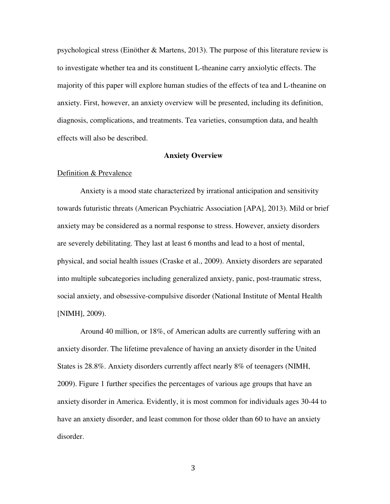psychological stress (Einöther & Martens, 2013). The purpose of this literature review is to investigate whether tea and its constituent L-theanine carry anxiolytic effects. The majority of this paper will explore human studies of the effects of tea and L-theanine on anxiety. First, however, an anxiety overview will be presented, including its definition, diagnosis, complications, and treatments. Tea varieties, consumption data, and health effects will also be described.

## **Anxiety Overview**

## Definition & Prevalence

 Anxiety is a mood state characterized by irrational anticipation and sensitivity towards futuristic threats (American Psychiatric Association [APA], 2013). Mild or brief anxiety may be considered as a normal response to stress. However, anxiety disorders are severely debilitating. They last at least 6 months and lead to a host of mental, physical, and social health issues (Craske et al., 2009). Anxiety disorders are separated into multiple subcategories including generalized anxiety, panic, post-traumatic stress, social anxiety, and obsessive-compulsive disorder (National Institute of Mental Health [NIMH], 2009).

Around 40 million, or 18%, of American adults are currently suffering with an anxiety disorder. The lifetime prevalence of having an anxiety disorder in the United States is 28.8%. Anxiety disorders currently affect nearly 8% of teenagers (NIMH, 2009). Figure 1 further specifies the percentages of various age groups that have an anxiety disorder in America. Evidently, it is most common for individuals ages 30-44 to have an anxiety disorder, and least common for those older than 60 to have an anxiety disorder.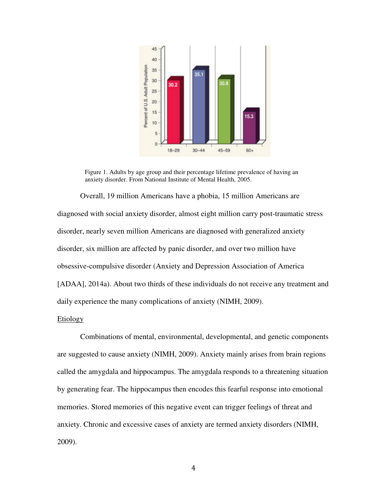

Figure 1. Adults by age group and their percentage lifetime prevalence of having an anxiety disorder. From National Institute of Mental Health, 2005. anxiety disorder. From National Institute of Mental Health, 2005.

Overall, 19 million Americans have a phobia, 15 million Americans are diagnosed with social anxiety disorder, almost eight million carry post-traumatic stress disorder, nearly seven million Americans are diagnosed with generalized anxiety disorder, six million are affected by panic disorder, and over two million have obsessive-compulsive disorder compulsive (Anxiety and Depression Association of America [ADAA], 2014a). About two thirds of these individuals do not receive any treatment and daily experience the many complications of anxiety (NIMH, 2009). y disorder, almost eight million carry post-traumatic<br>n Americans are diagnosed with generalized anxiety<br>cted by panic disorder, and over two million have (Anxiety and Depression Association of America<br>irds of these individuals do not receive any treatment and<br>plications of anxiety (NIMH, 2009).<br>l, environmental, developmental, and genetic components<br>(NIMH, 2009). Anxiety ma

## Etiology

Combinations of mental, environmental, developmental, and genetic components Combinations of mental, environmental, developmental, and genetic compon<br>are suggested to cause anxiety (NIMH, 2009). Anxiety mainly arises from brain regi called the amygdala and hippocampus. The amygdala responds to a threatening situation by generating fear. The hippocampus then encodes this fearful response into emotional memories. Stored memories of this negative event can trigger feelings of threat and anxiety. Chronic and excessive cases of anxiety are termed anxiety disorders 2009). tening situati<br>nto emotiona<br>threat and<br>lers (NIMH,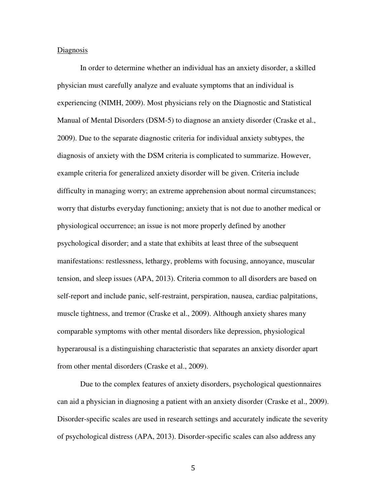#### Diagnosis

In order to determine whether an individual has an anxiety disorder, a skilled physician must carefully analyze and evaluate symptoms that an individual is experiencing (NIMH, 2009). Most physicians rely on the Diagnostic and Statistical Manual of Mental Disorders (DSM-5) to diagnose an anxiety disorder (Craske et al., 2009). Due to the separate diagnostic criteria for individual anxiety subtypes, the diagnosis of anxiety with the DSM criteria is complicated to summarize. However, example criteria for generalized anxiety disorder will be given. Criteria include difficulty in managing worry; an extreme apprehension about normal circumstances; worry that disturbs everyday functioning; anxiety that is not due to another medical or physiological occurrence; an issue is not more properly defined by another psychological disorder; and a state that exhibits at least three of the subsequent manifestations: restlessness, lethargy, problems with focusing, annoyance, muscular tension, and sleep issues (APA, 2013). Criteria common to all disorders are based on self-report and include panic, self-restraint, perspiration, nausea, cardiac palpitations, muscle tightness, and tremor (Craske et al., 2009). Although anxiety shares many comparable symptoms with other mental disorders like depression, physiological hyperarousal is a distinguishing characteristic that separates an anxiety disorder apart from other mental disorders (Craske et al., 2009).

Due to the complex features of anxiety disorders, psychological questionnaires can aid a physician in diagnosing a patient with an anxiety disorder (Craske et al., 2009). Disorder-specific scales are used in research settings and accurately indicate the severity of psychological distress (APA, 2013). Disorder-specific scales can also address any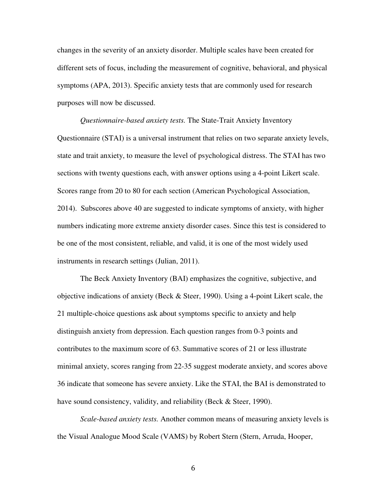changes in the severity of an anxiety disorder. Multiple scales have been created for different sets of focus, including the measurement of cognitive, behavioral, and physical symptoms (APA, 2013). Specific anxiety tests that are commonly used for research purposes will now be discussed.

*Questionnaire-based anxiety tests.* The State-Trait Anxiety Inventory Questionnaire (STAI) is a universal instrument that relies on two separate anxiety levels, state and trait anxiety, to measure the level of psychological distress. The STAI has two sections with twenty questions each, with answer options using a 4-point Likert scale. Scores range from 20 to 80 for each section (American Psychological Association, 2014). Subscores above 40 are suggested to indicate symptoms of anxiety, with higher numbers indicating more extreme anxiety disorder cases. Since this test is considered to be one of the most consistent, reliable, and valid, it is one of the most widely used instruments in research settings (Julian, 2011).

The Beck Anxiety Inventory (BAI) emphasizes the cognitive, subjective, and objective indications of anxiety (Beck & Steer, 1990). Using a 4-point Likert scale, the 21 multiple-choice questions ask about symptoms specific to anxiety and help distinguish anxiety from depression. Each question ranges from 0-3 points and contributes to the maximum score of 63. Summative scores of 21 or less illustrate minimal anxiety, scores ranging from 22-35 suggest moderate anxiety, and scores above 36 indicate that someone has severe anxiety. Like the STAI, the BAI is demonstrated to have sound consistency, validity, and reliability (Beck & Steer, 1990).

*Scale-based anxiety tests.* Another common means of measuring anxiety levels is the Visual Analogue Mood Scale (VAMS) by Robert Stern (Stern, Arruda, Hooper,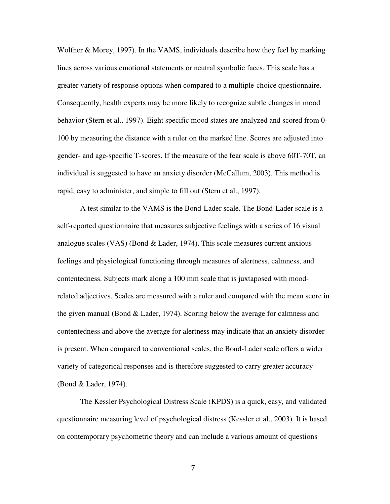Wolfner & Morey, 1997). In the VAMS, individuals describe how they feel by marking lines across various emotional statements or neutral symbolic faces. This scale has a greater variety of response options when compared to a multiple-choice questionnaire. Consequently, health experts may be more likely to recognize subtle changes in mood behavior (Stern et al., 1997). Eight specific mood states are analyzed and scored from 0- 100 by measuring the distance with a ruler on the marked line. Scores are adjusted into gender- and age-specific T-scores. If the measure of the fear scale is above 60T-70T, an individual is suggested to have an anxiety disorder (McCallum, 2003). This method is rapid, easy to administer, and simple to fill out (Stern et al., 1997).

A test similar to the VAMS is the Bond-Lader scale. The Bond-Lader scale is a self-reported questionnaire that measures subjective feelings with a series of 16 visual analogue scales (VAS) (Bond  $& Lader$ , 1974). This scale measures current anxious feelings and physiological functioning through measures of alertness, calmness, and contentedness. Subjects mark along a 100 mm scale that is juxtaposed with moodrelated adjectives. Scales are measured with a ruler and compared with the mean score in the given manual (Bond & Lader, 1974). Scoring below the average for calmness and contentedness and above the average for alertness may indicate that an anxiety disorder is present. When compared to conventional scales, the Bond-Lader scale offers a wider variety of categorical responses and is therefore suggested to carry greater accuracy (Bond & Lader, 1974).

The Kessler Psychological Distress Scale (KPDS) is a quick, easy, and validated questionnaire measuring level of psychological distress (Kessler et al., 2003). It is based on contemporary psychometric theory and can include a various amount of questions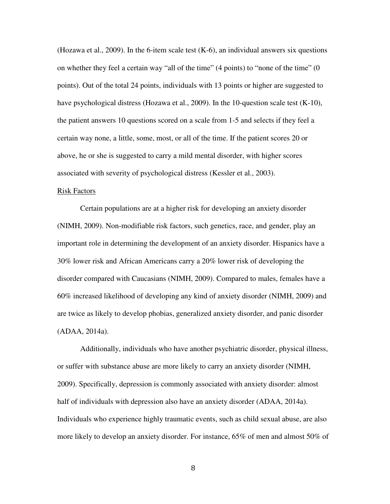(Hozawa et al., 2009). In the 6-item scale test (K-6), an individual answers six questions on whether they feel a certain way "all of the time" (4 points) to "none of the time" (0 points). Out of the total 24 points, individuals with 13 points or higher are suggested to have psychological distress (Hozawa et al., 2009). In the 10-question scale test (K-10), the patient answers 10 questions scored on a scale from 1-5 and selects if they feel a certain way none, a little, some, most, or all of the time. If the patient scores 20 or above, he or she is suggested to carry a mild mental disorder, with higher scores associated with severity of psychological distress (Kessler et al., 2003).

#### Risk Factors

Certain populations are at a higher risk for developing an anxiety disorder (NIMH, 2009). Non-modifiable risk factors, such genetics, race, and gender, play an important role in determining the development of an anxiety disorder. Hispanics have a 30% lower risk and African Americans carry a 20% lower risk of developing the disorder compared with Caucasians (NIMH, 2009). Compared to males, females have a 60% increased likelihood of developing any kind of anxiety disorder (NIMH, 2009) and are twice as likely to develop phobias, generalized anxiety disorder, and panic disorder (ADAA, 2014a).

Additionally, individuals who have another psychiatric disorder, physical illness, or suffer with substance abuse are more likely to carry an anxiety disorder (NIMH, 2009). Specifically, depression is commonly associated with anxiety disorder: almost half of individuals with depression also have an anxiety disorder (ADAA, 2014a). Individuals who experience highly traumatic events, such as child sexual abuse, are also more likely to develop an anxiety disorder. For instance, 65% of men and almost 50% of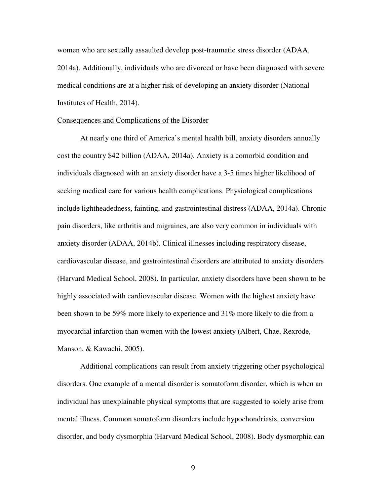women who are sexually assaulted develop post-traumatic stress disorder (ADAA, 2014a). Additionally, individuals who are divorced or have been diagnosed with severe medical conditions are at a higher risk of developing an anxiety disorder (National Institutes of Health, 2014).

#### Consequences and Complications of the Disorder

At nearly one third of America's mental health bill, anxiety disorders annually cost the country \$42 billion (ADAA, 2014a). Anxiety is a comorbid condition and individuals diagnosed with an anxiety disorder have a 3-5 times higher likelihood of seeking medical care for various health complications. Physiological complications include lightheadedness, fainting, and gastrointestinal distress (ADAA, 2014a). Chronic pain disorders, like arthritis and migraines, are also very common in individuals with anxiety disorder (ADAA, 2014b). Clinical illnesses including respiratory disease, cardiovascular disease, and gastrointestinal disorders are attributed to anxiety disorders (Harvard Medical School, 2008). In particular, anxiety disorders have been shown to be highly associated with cardiovascular disease. Women with the highest anxiety have been shown to be 59% more likely to experience and 31% more likely to die from a myocardial infarction than women with the lowest anxiety (Albert, Chae, Rexrode, Manson, & Kawachi, 2005).

Additional complications can result from anxiety triggering other psychological disorders. One example of a mental disorder is somatoform disorder, which is when an individual has unexplainable physical symptoms that are suggested to solely arise from mental illness. Common somatoform disorders include hypochondriasis, conversion disorder, and body dysmorphia (Harvard Medical School, 2008). Body dysmorphia can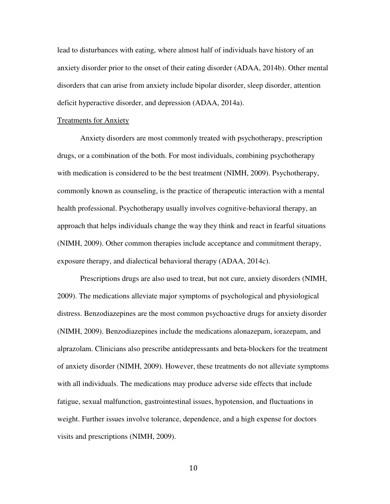lead to disturbances with eating, where almost half of individuals have history of an anxiety disorder prior to the onset of their eating disorder (ADAA, 2014b). Other mental disorders that can arise from anxiety include bipolar disorder, sleep disorder, attention deficit hyperactive disorder, and depression (ADAA, 2014a).

#### Treatments for Anxiety

 Anxiety disorders are most commonly treated with psychotherapy, prescription drugs, or a combination of the both. For most individuals, combining psychotherapy with medication is considered to be the best treatment (NIMH, 2009). Psychotherapy, commonly known as counseling, is the practice of therapeutic interaction with a mental health professional. Psychotherapy usually involves cognitive-behavioral therapy, an approach that helps individuals change the way they think and react in fearful situations (NIMH, 2009). Other common therapies include acceptance and commitment therapy, exposure therapy, and dialectical behavioral therapy (ADAA, 2014c).

Prescriptions drugs are also used to treat, but not cure, anxiety disorders (NIMH, 2009). The medications alleviate major symptoms of psychological and physiological distress. Benzodiazepines are the most common psychoactive drugs for anxiety disorder (NIMH, 2009). Benzodiazepines include the medications alonazepam, iorazepam, and alprazolam. Clinicians also prescribe antidepressants and beta-blockers for the treatment of anxiety disorder (NIMH, 2009). However, these treatments do not alleviate symptoms with all individuals. The medications may produce adverse side effects that include fatigue, sexual malfunction, gastrointestinal issues, hypotension, and fluctuations in weight. Further issues involve tolerance, dependence, and a high expense for doctors visits and prescriptions (NIMH, 2009).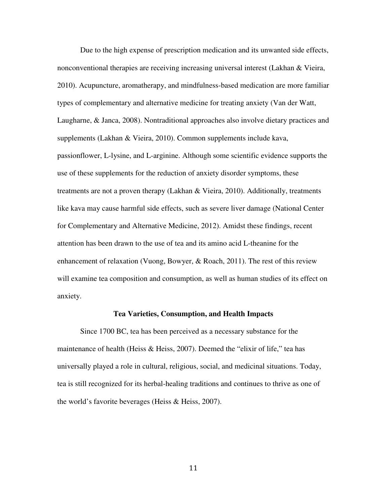Due to the high expense of prescription medication and its unwanted side effects, nonconventional therapies are receiving increasing universal interest (Lakhan & Vieira, 2010). Acupuncture, aromatherapy, and mindfulness-based medication are more familiar types of complementary and alternative medicine for treating anxiety (Van der Watt, Laugharne, & Janca, 2008). Nontraditional approaches also involve dietary practices and supplements (Lakhan & Vieira, 2010). Common supplements include kava, passionflower, L-lysine, and L-arginine. Although some scientific evidence supports the use of these supplements for the reduction of anxiety disorder symptoms, these treatments are not a proven therapy (Lakhan & Vieira, 2010). Additionally, treatments like kava may cause harmful side effects, such as severe liver damage (National Center for Complementary and Alternative Medicine, 2012). Amidst these findings, recent attention has been drawn to the use of tea and its amino acid L-theanine for the enhancement of relaxation (Vuong, Bowyer, & Roach, 2011). The rest of this review will examine tea composition and consumption, as well as human studies of its effect on anxiety.

## **Tea Varieties, Consumption, and Health Impacts**

Since 1700 BC, tea has been perceived as a necessary substance for the maintenance of health (Heiss & Heiss, 2007). Deemed the "elixir of life," tea has universally played a role in cultural, religious, social, and medicinal situations. Today, tea is still recognized for its herbal-healing traditions and continues to thrive as one of the world's favorite beverages (Heiss & Heiss, 2007).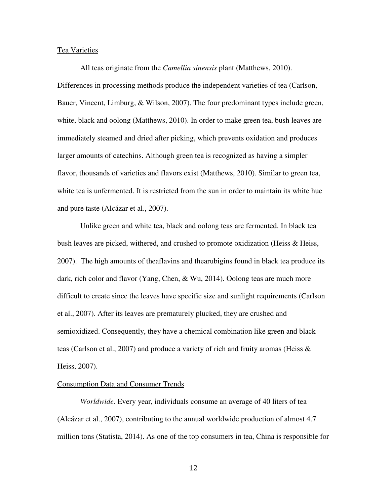#### Tea Varieties

All teas originate from the *Camellia sinensis* plant (Matthews, 2010). Differences in processing methods produce the independent varieties of tea (Carlson, Bauer, Vincent, Limburg, & Wilson, 2007). The four predominant types include green, white, black and oolong (Matthews, 2010). In order to make green tea, bush leaves are immediately steamed and dried after picking, which prevents oxidation and produces larger amounts of catechins. Although green tea is recognized as having a simpler flavor, thousands of varieties and flavors exist (Matthews, 2010). Similar to green tea, white tea is unfermented. It is restricted from the sun in order to maintain its white hue and pure taste (Alcázar et al., 2007).

Unlike green and white tea, black and oolong teas are fermented. In black tea bush leaves are picked, withered, and crushed to promote oxidization (Heiss  $\&$  Heiss, 2007). The high amounts of theaflavins and thearubigins found in black tea produce its dark, rich color and flavor (Yang, Chen, & Wu, 2014). Oolong teas are much more difficult to create since the leaves have specific size and sunlight requirements (Carlson et al., 2007). After its leaves are prematurely plucked, they are crushed and semioxidized. Consequently, they have a chemical combination like green and black teas (Carlson et al., 2007) and produce a variety of rich and fruity aromas (Heiss  $\&$ Heiss, 2007).

## Consumption Data and Consumer Trends

*Worldwide.* Every year, individuals consume an average of 40 liters of tea (Alcázar et al., 2007), contributing to the annual worldwide production of almost 4.7 million tons (Statista, 2014). As one of the top consumers in tea, China is responsible for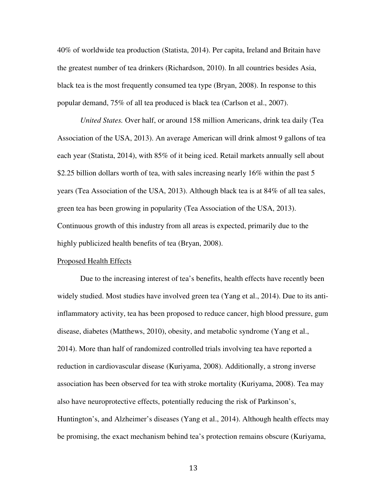40% of worldwide tea production (Statista, 2014). Per capita, Ireland and Britain have the greatest number of tea drinkers (Richardson, 2010). In all countries besides Asia, black tea is the most frequently consumed tea type (Bryan, 2008). In response to this popular demand, 75% of all tea produced is black tea (Carlson et al., 2007).

*United States.* Over half, or around 158 million Americans, drink tea daily (Tea Association of the USA, 2013). An average American will drink almost 9 gallons of tea each year (Statista, 2014), with 85% of it being iced. Retail markets annually sell about \$2.25 billion dollars worth of tea, with sales increasing nearly 16% within the past 5 years (Tea Association of the USA, 2013). Although black tea is at 84% of all tea sales, green tea has been growing in popularity (Tea Association of the USA, 2013). Continuous growth of this industry from all areas is expected, primarily due to the highly publicized health benefits of tea (Bryan, 2008).

## Proposed Health Effects

Due to the increasing interest of tea's benefits, health effects have recently been widely studied. Most studies have involved green tea (Yang et al., 2014). Due to its antiinflammatory activity, tea has been proposed to reduce cancer, high blood pressure, gum disease, diabetes (Matthews, 2010), obesity, and metabolic syndrome (Yang et al., 2014). More than half of randomized controlled trials involving tea have reported a reduction in cardiovascular disease (Kuriyama, 2008). Additionally, a strong inverse association has been observed for tea with stroke mortality (Kuriyama, 2008). Tea may also have neuroprotective effects, potentially reducing the risk of Parkinson's, Huntington's, and Alzheimer's diseases (Yang et al., 2014). Although health effects may be promising, the exact mechanism behind tea's protection remains obscure (Kuriyama,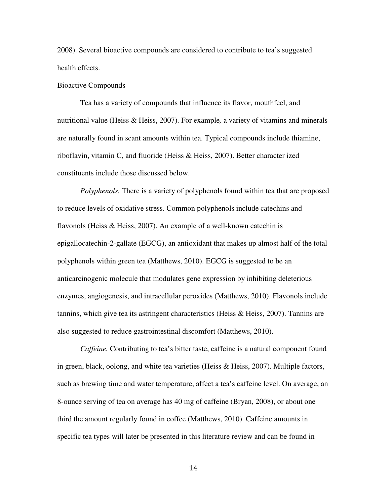2008). Several bioactive compounds are considered to contribute to tea's suggested health effects.

## Bioactive Compounds

 Tea has a variety of compounds that influence its flavor, mouthfeel, and nutritional value (Heiss & Heiss, 2007). For example*,* a variety of vitamins and minerals are naturally found in scant amounts within tea. Typical compounds include thiamine, riboflavin, vitamin C, and fluoride (Heiss & Heiss, 2007). Better character ized constituents include those discussed below.

*Polyphenols.* There is a variety of polyphenols found within tea that are proposed to reduce levels of oxidative stress. Common polyphenols include catechins and flavonols (Heiss & Heiss, 2007). An example of a well-known catechin is epigallocatechin-2-gallate (EGCG), an antioxidant that makes up almost half of the total polyphenols within green tea (Matthews, 2010). EGCG is suggested to be an anticarcinogenic molecule that modulates gene expression by inhibiting deleterious enzymes, angiogenesis, and intracellular peroxides (Matthews, 2010). Flavonols include tannins, which give tea its astringent characteristics (Heiss & Heiss, 2007). Tannins are also suggested to reduce gastrointestinal discomfort (Matthews, 2010).

*Caffeine.* Contributing to tea's bitter taste, caffeine is a natural component found in green, black, oolong, and white tea varieties (Heiss & Heiss, 2007). Multiple factors, such as brewing time and water temperature, affect a tea's caffeine level. On average, an 8-ounce serving of tea on average has 40 mg of caffeine (Bryan, 2008), or about one third the amount regularly found in coffee (Matthews, 2010). Caffeine amounts in specific tea types will later be presented in this literature review and can be found in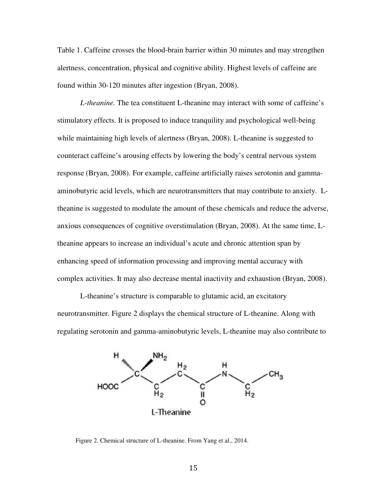Table 1. Caffeine crosses the blood-brain barrier within 30 minutes and may strengthen alertness, concentration, physical and cognitive ability. Highest levels of caffeine are found within 30-120 minutes after ingestion (Bryan, 2008).

L-theanine. The tea constituent L-theanine may interact with some of caffeine's L-theanine. The tea constituent L-theanine may interact with some of caffeine<br>stimulatory effects. It is proposed to induce tranquility and psychological well-being while maintaining high levels of alertness (Bryan, 2008). L-theanine is suggested to while maintaining high levels of alertness (Bryan, 2008). L-theanine is suggested to<br>counteract caffeine's arousing effects by lowering the body's central nervous system response (Bryan, 2008). For example, caffeine artificially raises serotonin and gammaaminobutyric acid levels, which are neurotransmitters that may contribute to anxiety. Ltheanine is suggested to modulate the amount of these chemicals and reduce the adverse, theanine is suggested to modulate the amount of these chemicals and reduce the adverse<br>anxious consequences of cognitive overstimulation (Bryan, 2008). At the same time, Ltheanine appears to increase an individual's acute and chronic attention span by enhancing speed of information processing and improving mental accuracy with complex activities. It may also decrease mental inactivity and exhaustion (Bryan, 2008).

L-theanine's structure is comparable to glutamic acid, an excitatory neurotransmitter. Figure 2 displays the chemical structure of L L-theanine. Along with regulating serotonin and gamma-aminobutyric levels, L-theanine may also contribute to



Figure 2. Chemical structure of L-theanine. From Yang et al., 2014.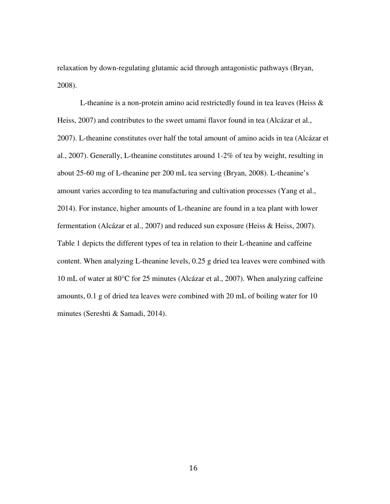relaxation by down-regulating glutamic acid through antagonistic pathways (Bryan, 2008).

L-theanine is a non-protein amino acid restrictedly found in tea leaves (Heiss & Heiss, 2007) and contributes to the sweet umami flavor found in tea (Alcázar et al., 2007). L-theanine constitutes over half the total amount of amino acids in tea (Alcázar et al., 2007). Generally, L-theanine constitutes around 1-2% of tea by weight, resulting in about 25-60 mg of L-theanine per 200 mL tea serving (Bryan, 2008). L-theanine's amount varies according to tea manufacturing and cultivation processes (Yang et al., 2014). For instance, higher amounts of L-theanine are found in a tea plant with lower fermentation (Alcázar et al., 2007) and reduced sun exposure (Heiss & Heiss, 2007). Table 1 depicts the different types of tea in relation to their L-theanine and caffeine content. When analyzing L-theanine levels, 0.25 g dried tea leaves were combined with 10 mL of water at 80°C for 25 minutes (Alcázar et al., 2007). When analyzing caffeine amounts, 0.1 g of dried tea leaves were combined with 20 mL of boiling water for 10 minutes (Sereshti & Samadi, 2014).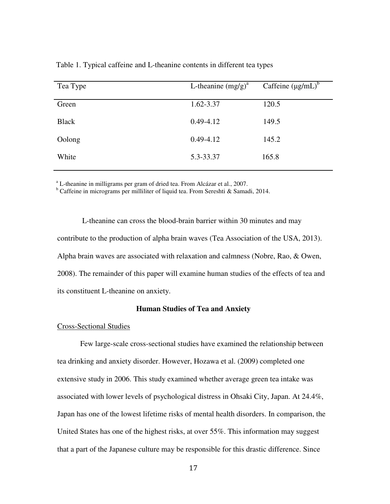| Tea Type     | L-theanine $(mg/g)^a$ | Caffeine $(\mu g/mL)^b$ |
|--------------|-----------------------|-------------------------|
| Green        | 1.62-3.37             | 120.5                   |
| <b>Black</b> | $0.49 - 4.12$         | 149.5                   |
| Oolong       | $0.49 - 4.12$         | 145.2                   |
| White        | 5.3-33.37             | 165.8                   |
|              |                       |                         |

Table 1. Typical caffeine and L-theanine contents in different tea types

<sup>a</sup> L-theanine in milligrams per gram of dried tea. From Alcázar et al., 2007.

<sup>b</sup> Caffeine in micrograms per milliliter of liquid tea. From Sereshti & Samadi, 2014.

 L-theanine can cross the blood-brain barrier within 30 minutes and may contribute to the production of alpha brain waves (Tea Association of the USA, 2013). Alpha brain waves are associated with relaxation and calmness (Nobre, Rao, & Owen, 2008). The remainder of this paper will examine human studies of the effects of tea and its constituent L-theanine on anxiety.

## **Human Studies of Tea and Anxiety**

# Cross-Sectional Studies

 Few large-scale cross-sectional studies have examined the relationship between tea drinking and anxiety disorder. However, Hozawa et al. (2009) completed one extensive study in 2006. This study examined whether average green tea intake was associated with lower levels of psychological distress in Ohsaki City, Japan. At 24.4%, Japan has one of the lowest lifetime risks of mental health disorders. In comparison, the United States has one of the highest risks, at over 55%. This information may suggest that a part of the Japanese culture may be responsible for this drastic difference. Since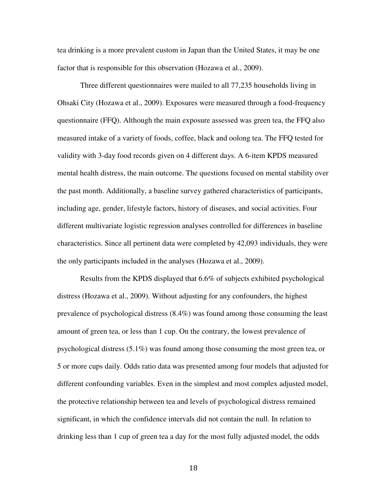tea drinking is a more prevalent custom in Japan than the United States, it may be one factor that is responsible for this observation (Hozawa et al., 2009).

 Three different questionnaires were mailed to all 77,235 households living in Ohsaki City (Hozawa et al., 2009). Exposures were measured through a food-frequency questionnaire (FFQ). Although the main exposure assessed was green tea, the FFQ also measured intake of a variety of foods, coffee, black and oolong tea. The FFQ tested for validity with 3-day food records given on 4 different days. A 6-item KPDS measured mental health distress, the main outcome. The questions focused on mental stability over the past month. Additionally, a baseline survey gathered characteristics of participants, including age, gender, lifestyle factors, history of diseases, and social activities. Four different multivariate logistic regression analyses controlled for differences in baseline characteristics. Since all pertinent data were completed by 42,093 individuals, they were the only participants included in the analyses (Hozawa et al., 2009).

Results from the KPDS displayed that 6.6% of subjects exhibited psychological distress (Hozawa et al., 2009). Without adjusting for any confounders, the highest prevalence of psychological distress (8.4%) was found among those consuming the least amount of green tea, or less than 1 cup. On the contrary, the lowest prevalence of psychological distress (5.1%) was found among those consuming the most green tea, or 5 or more cups daily. Odds ratio data was presented among four models that adjusted for different confounding variables. Even in the simplest and most complex adjusted model, the protective relationship between tea and levels of psychological distress remained significant, in which the confidence intervals did not contain the null. In relation to drinking less than 1 cup of green tea a day for the most fully adjusted model, the odds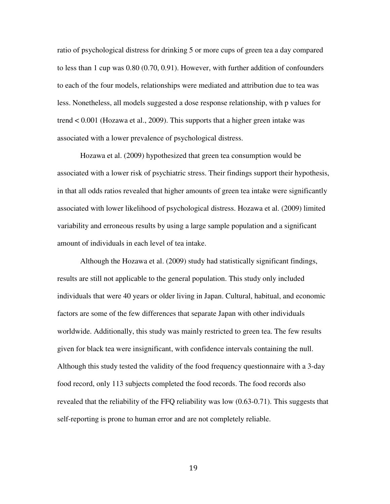ratio of psychological distress for drinking 5 or more cups of green tea a day compared to less than 1 cup was 0.80 (0.70, 0.91). However, with further addition of confounders to each of the four models, relationships were mediated and attribution due to tea was less. Nonetheless, all models suggested a dose response relationship, with p values for trend < 0.001 (Hozawa et al., 2009). This supports that a higher green intake was associated with a lower prevalence of psychological distress.

Hozawa et al. (2009) hypothesized that green tea consumption would be associated with a lower risk of psychiatric stress. Their findings support their hypothesis, in that all odds ratios revealed that higher amounts of green tea intake were significantly associated with lower likelihood of psychological distress. Hozawa et al. (2009) limited variability and erroneous results by using a large sample population and a significant amount of individuals in each level of tea intake.

Although the Hozawa et al. (2009) study had statistically significant findings, results are still not applicable to the general population. This study only included individuals that were 40 years or older living in Japan. Cultural, habitual, and economic factors are some of the few differences that separate Japan with other individuals worldwide. Additionally, this study was mainly restricted to green tea. The few results given for black tea were insignificant, with confidence intervals containing the null. Although this study tested the validity of the food frequency questionnaire with a 3-day food record, only 113 subjects completed the food records. The food records also revealed that the reliability of the FFQ reliability was low (0.63-0.71). This suggests that self-reporting is prone to human error and are not completely reliable.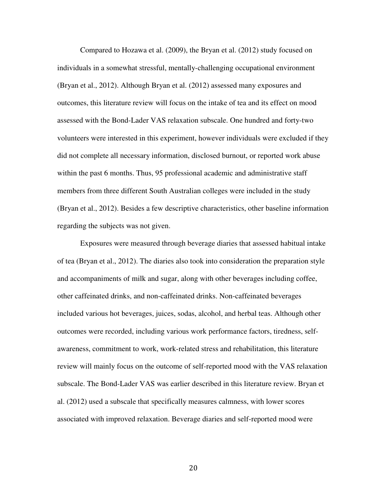Compared to Hozawa et al. (2009), the Bryan et al. (2012) study focused on individuals in a somewhat stressful, mentally-challenging occupational environment (Bryan et al., 2012). Although Bryan et al. (2012) assessed many exposures and outcomes, this literature review will focus on the intake of tea and its effect on mood assessed with the Bond-Lader VAS relaxation subscale. One hundred and forty-two volunteers were interested in this experiment, however individuals were excluded if they did not complete all necessary information, disclosed burnout, or reported work abuse within the past 6 months. Thus, 95 professional academic and administrative staff members from three different South Australian colleges were included in the study (Bryan et al., 2012). Besides a few descriptive characteristics, other baseline information regarding the subjects was not given.

 Exposures were measured through beverage diaries that assessed habitual intake of tea (Bryan et al., 2012). The diaries also took into consideration the preparation style and accompaniments of milk and sugar, along with other beverages including coffee, other caffeinated drinks, and non-caffeinated drinks. Non-caffeinated beverages included various hot beverages, juices, sodas, alcohol, and herbal teas. Although other outcomes were recorded, including various work performance factors, tiredness, selfawareness, commitment to work, work-related stress and rehabilitation, this literature review will mainly focus on the outcome of self-reported mood with the VAS relaxation subscale. The Bond-Lader VAS was earlier described in this literature review. Bryan et al. (2012) used a subscale that specifically measures calmness, with lower scores associated with improved relaxation. Beverage diaries and self-reported mood were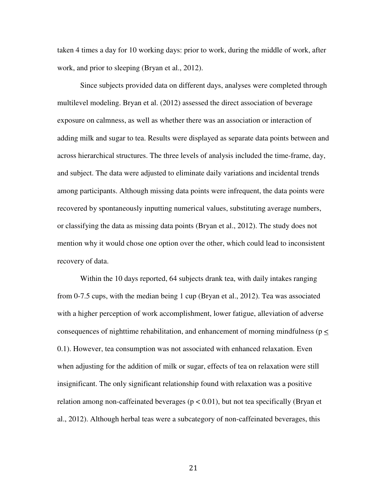taken 4 times a day for 10 working days: prior to work, during the middle of work, after work, and prior to sleeping (Bryan et al., 2012).

Since subjects provided data on different days, analyses were completed through multilevel modeling. Bryan et al. (2012) assessed the direct association of beverage exposure on calmness, as well as whether there was an association or interaction of adding milk and sugar to tea. Results were displayed as separate data points between and across hierarchical structures. The three levels of analysis included the time-frame, day, and subject. The data were adjusted to eliminate daily variations and incidental trends among participants. Although missing data points were infrequent, the data points were recovered by spontaneously inputting numerical values, substituting average numbers, or classifying the data as missing data points (Bryan et al., 2012). The study does not mention why it would chose one option over the other, which could lead to inconsistent recovery of data.

Within the 10 days reported, 64 subjects drank tea, with daily intakes ranging from 0-7.5 cups, with the median being 1 cup (Bryan et al., 2012). Tea was associated with a higher perception of work accomplishment, lower fatigue, alleviation of adverse consequences of nighttime rehabilitation, and enhancement of morning mindfulness (p < 0.1). However, tea consumption was not associated with enhanced relaxation. Even when adjusting for the addition of milk or sugar, effects of tea on relaxation were still insignificant. The only significant relationship found with relaxation was a positive relation among non-caffeinated beverages ( $p < 0.01$ ), but not tea specifically (Bryan et al., 2012). Although herbal teas were a subcategory of non-caffeinated beverages, this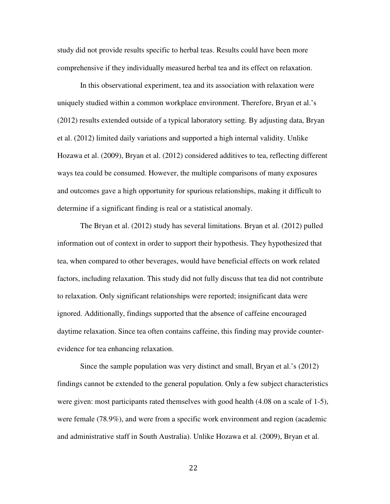study did not provide results specific to herbal teas. Results could have been more comprehensive if they individually measured herbal tea and its effect on relaxation.

In this observational experiment, tea and its association with relaxation were uniquely studied within a common workplace environment. Therefore, Bryan et al.'s (2012) results extended outside of a typical laboratory setting. By adjusting data, Bryan et al. (2012) limited daily variations and supported a high internal validity. Unlike Hozawa et al. (2009), Bryan et al. (2012) considered additives to tea, reflecting different ways tea could be consumed. However, the multiple comparisons of many exposures and outcomes gave a high opportunity for spurious relationships, making it difficult to determine if a significant finding is real or a statistical anomaly.

The Bryan et al. (2012) study has several limitations. Bryan et al. (2012) pulled information out of context in order to support their hypothesis. They hypothesized that tea, when compared to other beverages, would have beneficial effects on work related factors, including relaxation. This study did not fully discuss that tea did not contribute to relaxation. Only significant relationships were reported; insignificant data were ignored. Additionally, findings supported that the absence of caffeine encouraged daytime relaxation. Since tea often contains caffeine, this finding may provide counterevidence for tea enhancing relaxation.

Since the sample population was very distinct and small, Bryan et al.'s (2012) findings cannot be extended to the general population. Only a few subject characteristics were given: most participants rated themselves with good health (4.08 on a scale of 1-5), were female (78.9%), and were from a specific work environment and region (academic and administrative staff in South Australia). Unlike Hozawa et al. (2009), Bryan et al.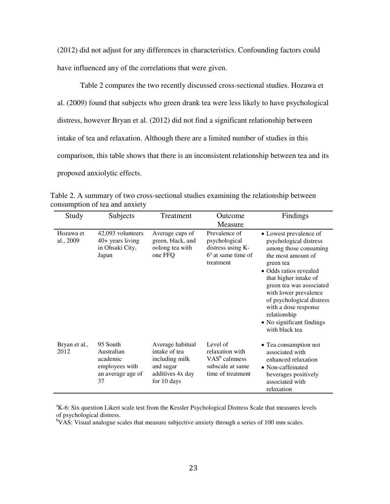(2012) did not adjust for any differences in characteristics. Confounding factors could have influenced any of the correlations that were given.

Table 2 compares the two recently discussed cross-sectional studies. Hozawa et al. (2009) found that subjects who green drank tea were less likely to have psychological distress, however Bryan et al. (2012) did not find a significant relationship between intake of tea and relaxation. Although there are a limited number of studies in this comparison, this table shows that there is an inconsistent relationship between tea and its proposed anxiolytic effects.

| Study                  | Subjects                                                                        | Treatment                                                                                           | Outcome<br>Measure                                                                       | Findings                                                                                                                                                                                                                                                                                                                                 |
|------------------------|---------------------------------------------------------------------------------|-----------------------------------------------------------------------------------------------------|------------------------------------------------------------------------------------------|------------------------------------------------------------------------------------------------------------------------------------------------------------------------------------------------------------------------------------------------------------------------------------------------------------------------------------------|
| Hozawa et<br>al., 2009 | 42,093 volunteers<br>$40+$ years living<br>in Ohsaki City,<br>Japan             | Average cups of<br>green, black, and<br>oolong tea with<br>one FFQ                                  | Prevalence of<br>psychological<br>distress using K-<br>$6a$ at same time of<br>treatment | • Lowest prevalence of<br>psychological distress<br>among those consuming<br>the most amount of<br>green tea<br>• Odds ratios revealed<br>that higher intake of<br>green tea was associated<br>with lower prevalence<br>of psychological distress<br>with a dose response<br>relationship<br>• No significant findings<br>with black tea |
| Bryan et al.,<br>2012  | 95 South<br>Australian<br>academic<br>employees with<br>an average age of<br>37 | Average habitual<br>intake of tea<br>including milk<br>and sugar<br>additives 4x day<br>for 10 days | Level of<br>relaxation with<br>$VASb$ calmness<br>subscale at same<br>time of treatment  | • Tea consumption not<br>associated with<br>enhanced relaxation<br>• Non-caffeinated<br>beverages positively<br>associated with<br>relaxation                                                                                                                                                                                            |

Table 2. A summary of two cross-sectional studies examining the relationship between consumption of tea and anxiety

<sup>a</sup>K-6: Six question Likert scale test from the Kessler Psychological Distress Scale that measures levels of psychological distress.

 $bVAS$ : Visual analogue scales that measure subjective anxiety through a series of 100 mm scales.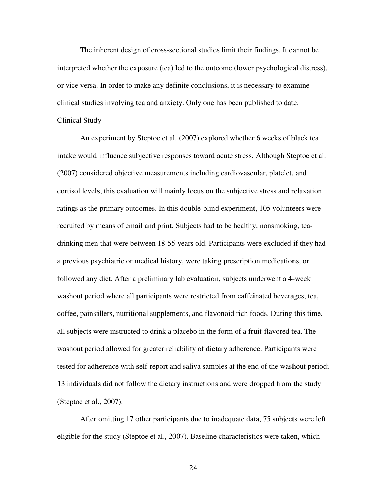The inherent design of cross-sectional studies limit their findings. It cannot be interpreted whether the exposure (tea) led to the outcome (lower psychological distress), or vice versa. In order to make any definite conclusions, it is necessary to examine clinical studies involving tea and anxiety. Only one has been published to date.

#### Clinical Study

An experiment by Steptoe et al. (2007) explored whether 6 weeks of black tea intake would influence subjective responses toward acute stress. Although Steptoe et al. (2007) considered objective measurements including cardiovascular, platelet, and cortisol levels, this evaluation will mainly focus on the subjective stress and relaxation ratings as the primary outcomes. In this double-blind experiment, 105 volunteers were recruited by means of email and print. Subjects had to be healthy, nonsmoking, teadrinking men that were between 18-55 years old. Participants were excluded if they had a previous psychiatric or medical history, were taking prescription medications, or followed any diet. After a preliminary lab evaluation, subjects underwent a 4-week washout period where all participants were restricted from caffeinated beverages, tea, coffee, painkillers, nutritional supplements, and flavonoid rich foods. During this time, all subjects were instructed to drink a placebo in the form of a fruit-flavored tea. The washout period allowed for greater reliability of dietary adherence. Participants were tested for adherence with self-report and saliva samples at the end of the washout period; 13 individuals did not follow the dietary instructions and were dropped from the study (Steptoe et al., 2007).

After omitting 17 other participants due to inadequate data, 75 subjects were left eligible for the study (Steptoe et al., 2007). Baseline characteristics were taken, which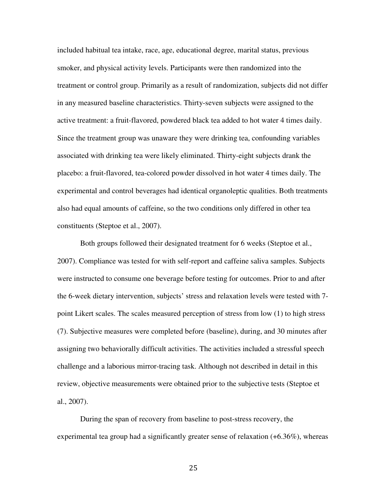included habitual tea intake, race, age, educational degree, marital status, previous smoker, and physical activity levels. Participants were then randomized into the treatment or control group. Primarily as a result of randomization, subjects did not differ in any measured baseline characteristics. Thirty-seven subjects were assigned to the active treatment: a fruit-flavored, powdered black tea added to hot water 4 times daily. Since the treatment group was unaware they were drinking tea, confounding variables associated with drinking tea were likely eliminated. Thirty-eight subjects drank the placebo: a fruit-flavored, tea-colored powder dissolved in hot water 4 times daily. The experimental and control beverages had identical organoleptic qualities. Both treatments also had equal amounts of caffeine, so the two conditions only differed in other tea constituents (Steptoe et al., 2007).

Both groups followed their designated treatment for 6 weeks (Steptoe et al., 2007). Compliance was tested for with self-report and caffeine saliva samples. Subjects were instructed to consume one beverage before testing for outcomes. Prior to and after the 6-week dietary intervention, subjects' stress and relaxation levels were tested with 7 point Likert scales. The scales measured perception of stress from low (1) to high stress (7). Subjective measures were completed before (baseline), during, and 30 minutes after assigning two behaviorally difficult activities. The activities included a stressful speech challenge and a laborious mirror-tracing task. Although not described in detail in this review, objective measurements were obtained prior to the subjective tests (Steptoe et al., 2007).

During the span of recovery from baseline to post-stress recovery, the experimental tea group had a significantly greater sense of relaxation (+6.36%), whereas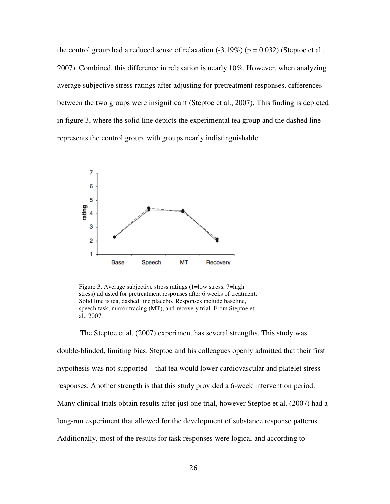the control group had a reduced sense of relaxation  $(-3.19\%)$  ( $p = 0.032$ ) (Steptoe et al., 2007). Combined, this difference in relaxation is nearly 10%. However, when average subjective stress ratings after adjusting for pretreatment responses, differences between the two groups were insignificant (Steptoe et al., 2007). This finding is depicted in figure 3, where the solid line depicts the experimental tea group and the dashed line represents the control group, with groups nearly indistinguishable. the difference in relaxation is nearly 10%. However, when analyzing<br>stress ratings after adjusting for pretreatment responses, differences<br>oups were insignificant (Steptoe et al., 2007). This finding is depicted<br>the solid



Figure 3. Average subjective stress ratings (1=low stress, 7=high stress) adjusted for pretreatment responses after 6 weeks of treatment. Solid line is tea, dashed line placebo. Responses include baseline, speech task, mirror tracing (MT), and recovery trial. From Steptoe et al., 2007.

The Steptoe et al. (2007) experiment has several strengths. This study was double-blinded, limiting bias. Steptoe and his colleagues openly admitted that their first hypothesis was not supported—that tea would lower cardiovascular and platelet stress responses. Another strength is that this study provided a 6-week intervention period. Many clinical trials obtain results after just one trial, however Steptoe et al. (2007) long-run experiment that allowed for the development of substance response patterns. Additionally, most of the results for task responses were logical and according to depicts the experimental tea group and the dashed line<br>th groups nearly indistinguishable.<br>The groups of the group of the groups of the groups of<br>the mere studies of the study of the groups and the groups after 6 weeks of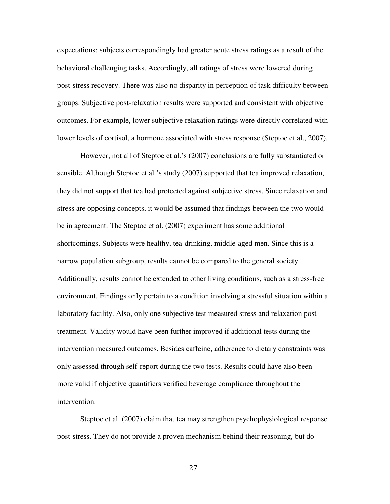expectations: subjects correspondingly had greater acute stress ratings as a result of the behavioral challenging tasks. Accordingly, all ratings of stress were lowered during post-stress recovery. There was also no disparity in perception of task difficulty between groups. Subjective post-relaxation results were supported and consistent with objective outcomes. For example, lower subjective relaxation ratings were directly correlated with lower levels of cortisol, a hormone associated with stress response (Steptoe et al., 2007).

However, not all of Steptoe et al.'s (2007) conclusions are fully substantiated or sensible. Although Steptoe et al.'s study (2007) supported that tea improved relaxation, they did not support that tea had protected against subjective stress. Since relaxation and stress are opposing concepts, it would be assumed that findings between the two would be in agreement. The Steptoe et al. (2007) experiment has some additional shortcomings. Subjects were healthy, tea-drinking, middle-aged men. Since this is a narrow population subgroup, results cannot be compared to the general society. Additionally, results cannot be extended to other living conditions, such as a stress-free environment. Findings only pertain to a condition involving a stressful situation within a laboratory facility. Also, only one subjective test measured stress and relaxation posttreatment. Validity would have been further improved if additional tests during the intervention measured outcomes. Besides caffeine, adherence to dietary constraints was only assessed through self-report during the two tests. Results could have also been more valid if objective quantifiers verified beverage compliance throughout the intervention.

Steptoe et al. (2007) claim that tea may strengthen psychophysiological response post-stress. They do not provide a proven mechanism behind their reasoning, but do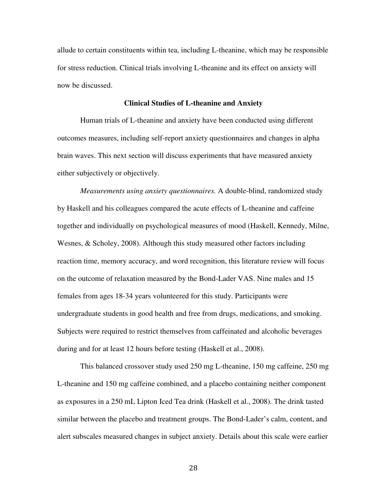allude to certain constituents within tea, including L-theanine, which may be responsible for stress reduction. Clinical trials involving L-theanine and its effect on anxiety will now be discussed.

## **Clinical Studies of L-theanine and Anxiety**

Human trials of L-theanine and anxiety have been conducted using different outcomes measures, including self-report anxiety questionnaires and changes in alpha brain waves. This next section will discuss experiments that have measured anxiety either subjectively or objectively.

*Measurements using anxiety questionnaires.* A double-blind, randomized study by Haskell and his colleagues compared the acute effects of L-theanine and caffeine together and individually on psychological measures of mood (Haskell, Kennedy, Milne, Wesnes, & Scholey, 2008). Although this study measured other factors including reaction time, memory accuracy, and word recognition, this literature review will focus on the outcome of relaxation measured by the Bond-Lader VAS. Nine males and 15 females from ages 18-34 years volunteered for this study. Participants were undergraduate students in good health and free from drugs, medications, and smoking. Subjects were required to restrict themselves from caffeinated and alcoholic beverages during and for at least 12 hours before testing (Haskell et al., 2008).

This balanced crossover study used 250 mg L-theanine, 150 mg caffeine, 250 mg L-theanine and 150 mg caffeine combined, and a placebo containing neither component as exposures in a 250 mL Lipton Iced Tea drink (Haskell et al., 2008). The drink tasted similar between the placebo and treatment groups. The Bond-Lader's calm, content, and alert subscales measured changes in subject anxiety. Details about this scale were earlier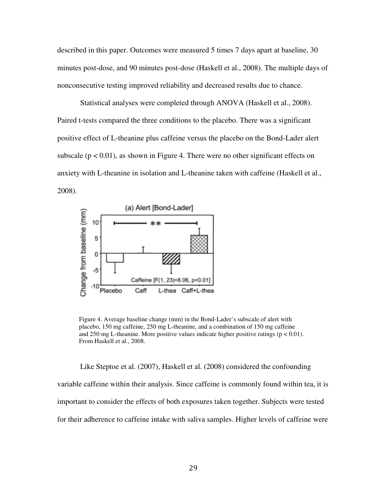described in this paper. Outcomes were measured 5 times 7 days apart at baseline, 30 minutes post-dose, and 90 minutes post-dose (Haskell et al., 2008). The multiple days of nonconsecutive testing improved reliability and decreased results due to chance.

Statistical analyses were completed through ANOVA (Haskell et al., 2008) Paired t-tests compared the three conditions to the placebo. There was a significant positive effect of L-theanine plus caffeine versus the placebo on the Bond-Lader alert subscale ( $p < 0.01$ ), as shown in Figure 4. There were no other significant effects on anxiety with L-theanine in isolation and L-theanine taken with caffeine (Haskell et al., 2008). and 90 minutes post-dose (Haskell et al., 2008). The multiple day<br>
ing improved reliability and decreased results due to chance.<br>
analyses were completed through ANOVA (Haskell et al., 2008).<br>
ared the three conditions to itions to the placebo. There was a significant<br>
eine versus the placebo on the Bond-Lader ale<br>
e 4. There were no other significant effects or<br>
nd L-theanine taken with caffeine (Haskell et a<br>
Lader]<br>
<br>
<br>
<br>
<br>
<br>
<br>
<br>
<br>
<br>
<br>



Figure 4. Average baseline change (mm) in the Bond-Lader's subscale of alert with placebo, 150 mg caffeine, 250 mg L-theanine, and a combination of 150 mg caffeine and 250 mg L-theanine. More positive values indicate higher positive ratings ( $p < 0.01$ ). From Haskell et al., 2008.

Like Steptoe et al. (2007), Haskell et al. (2008) considered the confounding variable caffeine within their analysis. Since caffeine is commonly found within tea, it is important to consider the effects of both exposures taken together. Subjects were tested for their adherence to caffeine intake with saliva samples. Higher levels of caffeine were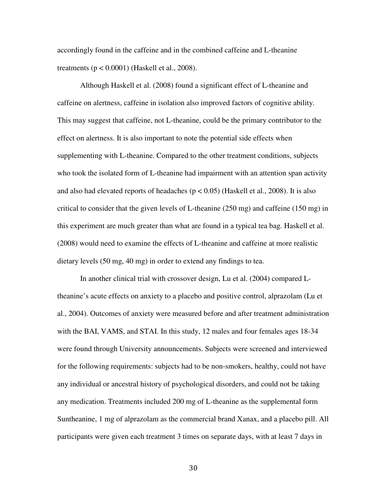accordingly found in the caffeine and in the combined caffeine and L-theanine treatments  $(p < 0.0001)$  (Haskell et al., 2008).

Although Haskell et al. (2008) found a significant effect of L-theanine and caffeine on alertness, caffeine in isolation also improved factors of cognitive ability. This may suggest that caffeine, not L-theanine, could be the primary contributor to the effect on alertness. It is also important to note the potential side effects when supplementing with L-theanine. Compared to the other treatment conditions, subjects who took the isolated form of L-theanine had impairment with an attention span activity and also had elevated reports of headaches ( $p < 0.05$ ) (Haskell et al., 2008). It is also critical to consider that the given levels of L-theanine (250 mg) and caffeine (150 mg) in this experiment are much greater than what are found in a typical tea bag. Haskell et al. (2008) would need to examine the effects of L-theanine and caffeine at more realistic dietary levels (50 mg, 40 mg) in order to extend any findings to tea.

In another clinical trial with crossover design, Lu et al. (2004) compared Ltheanine's acute effects on anxiety to a placebo and positive control, alprazolam (Lu et al., 2004). Outcomes of anxiety were measured before and after treatment administration with the BAI, VAMS, and STAI. In this study, 12 males and four females ages 18-34 were found through University announcements. Subjects were screened and interviewed for the following requirements: subjects had to be non-smokers, healthy, could not have any individual or ancestral history of psychological disorders, and could not be taking any medication. Treatments included 200 mg of L-theanine as the supplemental form Suntheanine, 1 mg of alprazolam as the commercial brand Xanax, and a placebo pill. All participants were given each treatment 3 times on separate days, with at least 7 days in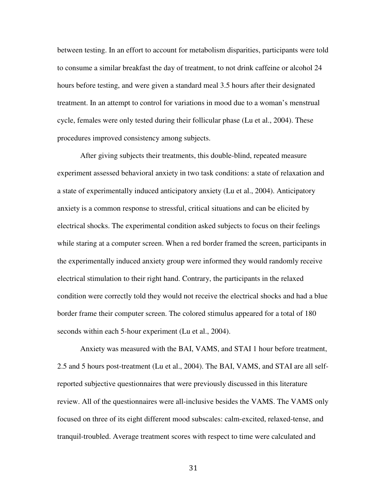between testing. In an effort to account for metabolism disparities, participants were told to consume a similar breakfast the day of treatment, to not drink caffeine or alcohol 24 hours before testing, and were given a standard meal 3.5 hours after their designated treatment. In an attempt to control for variations in mood due to a woman's menstrual cycle, females were only tested during their follicular phase (Lu et al., 2004). These procedures improved consistency among subjects.

After giving subjects their treatments, this double-blind, repeated measure experiment assessed behavioral anxiety in two task conditions: a state of relaxation and a state of experimentally induced anticipatory anxiety (Lu et al., 2004). Anticipatory anxiety is a common response to stressful, critical situations and can be elicited by electrical shocks. The experimental condition asked subjects to focus on their feelings while staring at a computer screen. When a red border framed the screen, participants in the experimentally induced anxiety group were informed they would randomly receive electrical stimulation to their right hand. Contrary, the participants in the relaxed condition were correctly told they would not receive the electrical shocks and had a blue border frame their computer screen. The colored stimulus appeared for a total of 180 seconds within each 5-hour experiment (Lu et al., 2004).

Anxiety was measured with the BAI, VAMS, and STAI 1 hour before treatment, 2.5 and 5 hours post-treatment (Lu et al., 2004). The BAI, VAMS, and STAI are all selfreported subjective questionnaires that were previously discussed in this literature review. All of the questionnaires were all-inclusive besides the VAMS. The VAMS only focused on three of its eight different mood subscales: calm-excited, relaxed-tense, and tranquil-troubled. Average treatment scores with respect to time were calculated and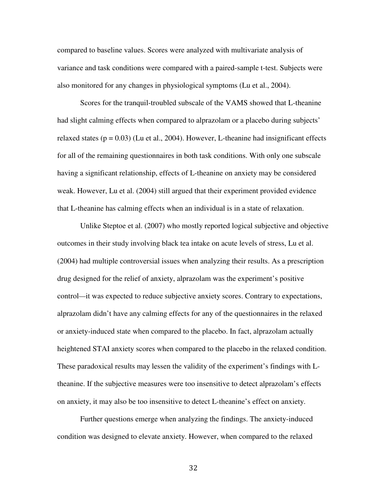compared to baseline values. Scores were analyzed with multivariate analysis of variance and task conditions were compared with a paired-sample t-test. Subjects were also monitored for any changes in physiological symptoms (Lu et al., 2004).

Scores for the tranquil-troubled subscale of the VAMS showed that L-theanine had slight calming effects when compared to alprazolam or a placebo during subjects' relaxed states ( $p = 0.03$ ) (Lu et al., 2004). However, L-theanine had insignificant effects for all of the remaining questionnaires in both task conditions. With only one subscale having a significant relationship, effects of L-theanine on anxiety may be considered weak. However, Lu et al. (2004) still argued that their experiment provided evidence that L-theanine has calming effects when an individual is in a state of relaxation.

Unlike Steptoe et al. (2007) who mostly reported logical subjective and objective outcomes in their study involving black tea intake on acute levels of stress, Lu et al. (2004) had multiple controversial issues when analyzing their results. As a prescription drug designed for the relief of anxiety, alprazolam was the experiment's positive control*—*it was expected to reduce subjective anxiety scores. Contrary to expectations, alprazolam didn't have any calming effects for any of the questionnaires in the relaxed or anxiety-induced state when compared to the placebo. In fact, alprazolam actually heightened STAI anxiety scores when compared to the placebo in the relaxed condition. These paradoxical results may lessen the validity of the experiment's findings with Ltheanine. If the subjective measures were too insensitive to detect alprazolam's effects on anxiety, it may also be too insensitive to detect L-theanine's effect on anxiety.

Further questions emerge when analyzing the findings. The anxiety-induced condition was designed to elevate anxiety. However, when compared to the relaxed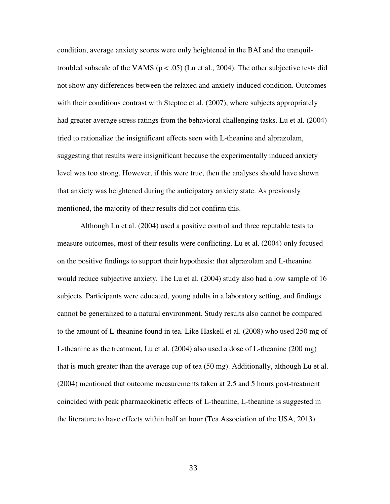condition, average anxiety scores were only heightened in the BAI and the tranquiltroubled subscale of the VAMS ( $p < .05$ ) (Lu et al., 2004). The other subjective tests did not show any differences between the relaxed and anxiety-induced condition. Outcomes with their conditions contrast with Steptoe et al. (2007), where subjects appropriately had greater average stress ratings from the behavioral challenging tasks. Lu et al. (2004) tried to rationalize the insignificant effects seen with L-theanine and alprazolam, suggesting that results were insignificant because the experimentally induced anxiety level was too strong. However, if this were true, then the analyses should have shown that anxiety was heightened during the anticipatory anxiety state. As previously mentioned, the majority of their results did not confirm this.

Although Lu et al. (2004) used a positive control and three reputable tests to measure outcomes, most of their results were conflicting. Lu et al. (2004) only focused on the positive findings to support their hypothesis: that alprazolam and L-theanine would reduce subjective anxiety. The Lu et al. (2004) study also had a low sample of 16 subjects. Participants were educated, young adults in a laboratory setting, and findings cannot be generalized to a natural environment. Study results also cannot be compared to the amount of L-theanine found in tea. Like Haskell et al. (2008) who used 250 mg of L-theanine as the treatment, Lu et al. (2004) also used a dose of L-theanine (200 mg) that is much greater than the average cup of tea (50 mg). Additionally, although Lu et al. (2004) mentioned that outcome measurements taken at 2.5 and 5 hours post-treatment coincided with peak pharmacokinetic effects of L-theanine, L-theanine is suggested in the literature to have effects within half an hour (Tea Association of the USA, 2013).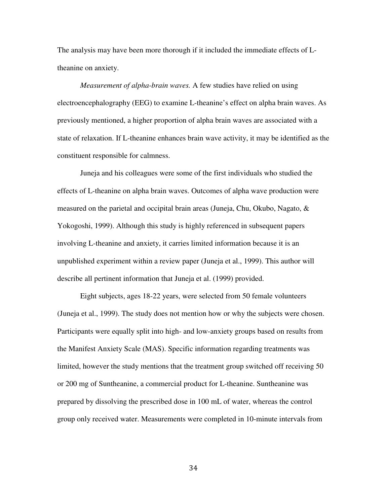The analysis may have been more thorough if it included the immediate effects of Ltheanine on anxiety.

*Measurement of alpha-brain waves.* A few studies have relied on using electroencephalography (EEG) to examine L-theanine's effect on alpha brain waves. As previously mentioned, a higher proportion of alpha brain waves are associated with a state of relaxation. If L-theanine enhances brain wave activity, it may be identified as the constituent responsible for calmness.

 Juneja and his colleagues were some of the first individuals who studied the effects of L-theanine on alpha brain waves. Outcomes of alpha wave production were measured on the parietal and occipital brain areas (Juneja, Chu, Okubo, Nagato, & Yokogoshi, 1999). Although this study is highly referenced in subsequent papers involving L-theanine and anxiety, it carries limited information because it is an unpublished experiment within a review paper (Juneja et al., 1999). This author will describe all pertinent information that Juneja et al. (1999) provided.

Eight subjects, ages 18-22 years, were selected from 50 female volunteers (Juneja et al., 1999). The study does not mention how or why the subjects were chosen. Participants were equally split into high- and low-anxiety groups based on results from the Manifest Anxiety Scale (MAS). Specific information regarding treatments was limited, however the study mentions that the treatment group switched off receiving 50 or 200 mg of Suntheanine, a commercial product for L-theanine. Suntheanine was prepared by dissolving the prescribed dose in 100 mL of water, whereas the control group only received water. Measurements were completed in 10-minute intervals from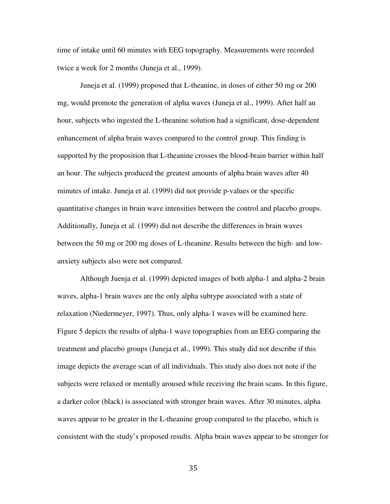time of intake until 60 minutes with EEG topography. Measurements were recorded twice a week for 2 months (Juneja et al., 1999).

Juneja et al. (1999) proposed that L-theanine, in doses of either 50 mg or 200 mg, would promote the generation of alpha waves (Juneja et al., 1999). After half an hour, subjects who ingested the L-theanine solution had a significant, dose-dependent enhancement of alpha brain waves compared to the control group. This finding is supported by the proposition that L-theanine crosses the blood-brain barrier within half an hour. The subjects produced the greatest amounts of alpha brain waves after 40 minutes of intake. Juneja et al. (1999) did not provide p-values or the specific quantitative changes in brain wave intensities between the control and placebo groups. Additionally, Juneja et al. (1999) did not describe the differences in brain waves between the 50 mg or 200 mg doses of L-theanine. Results between the high- and lowanxiety subjects also were not compared.

Although Juenja et al. (1999) depicted images of both alpha-1 and alpha-2 brain waves, alpha-1 brain waves are the only alpha subtype associated with a state of relaxation (Niedermeyer, 1997). Thus, only alpha-1 waves will be examined here. Figure 5 depicts the results of alpha-1 wave topographies from an EEG comparing the treatment and placebo groups (Juneja et al., 1999). This study did not describe if this image depicts the average scan of all individuals. This study also does not note if the subjects were relaxed or mentally aroused while receiving the brain scans. In this figure, a darker color (black) is associated with stronger brain waves. After 30 minutes, alpha waves appear to be greater in the L-theanine group compared to the placebo, which is consistent with the study's proposed results. Alpha brain waves appear to be stronger for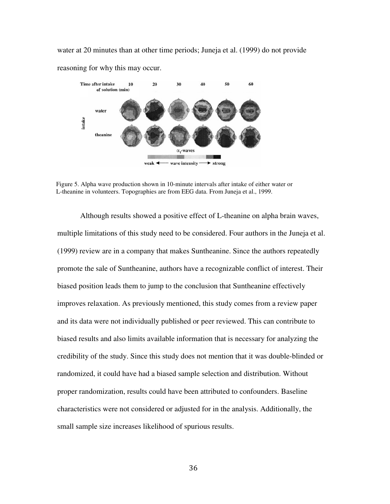water at 20 minutes than at other time periods; Juneja et al. (1999) do not provide reasoning for why this may occur.



Figure 5. Alpha wave production shown in 10-minute intervals after intake of either water or L-theanine in volunteers. Topographies are from EEG data. From Juneja et al., 1999.

Although results showed a positive effect of L-theanine on alpha brain waves, multiple limitations of this study need to be considered. Four authors in the Juneja et al. (1999) review are in a company that makes Suntheanine. Since the authors repeatedly promote the sale of Suntheanine, authors have a recognizable conflict of interest. Their biased position leads them to jump to the conclusion that Suntheanine effectively improves relaxation. As previously mentioned, this study comes from a review paper and its data were not individually published or peer reviewed. This can contribute to biased results and also limits available information that is necessary for analyzing the credibility of the study. Since this study does not mention that it was double-blinded or randomized, it could have had a biased sample selection and distribution. Without proper randomization, results could have been attributed to confounders. Baseline characteristics were not considered or adjusted for in the analysis. Additionally, the small sample size increases likelihood of spurious results.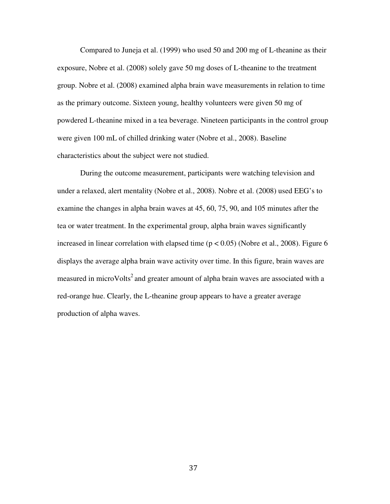Compared to Juneja et al. (1999) who used 50 and 200 mg of L-theanine as their exposure, Nobre et al. (2008) solely gave 50 mg doses of L-theanine to the treatment group. Nobre et al. (2008) examined alpha brain wave measurements in relation to time as the primary outcome. Sixteen young, healthy volunteers were given 50 mg of powdered L-theanine mixed in a tea beverage. Nineteen participants in the control group were given 100 mL of chilled drinking water (Nobre et al., 2008). Baseline characteristics about the subject were not studied.

During the outcome measurement, participants were watching television and under a relaxed, alert mentality (Nobre et al., 2008). Nobre et al. (2008) used EEG's to examine the changes in alpha brain waves at 45, 60, 75, 90, and 105 minutes after the tea or water treatment. In the experimental group, alpha brain waves significantly increased in linear correlation with elapsed time  $(p < 0.05)$  (Nobre et al., 2008). Figure 6 displays the average alpha brain wave activity over time. In this figure, brain waves are measured in microVolts<sup>2</sup> and greater amount of alpha brain waves are associated with a red-orange hue. Clearly, the L-theanine group appears to have a greater average production of alpha waves.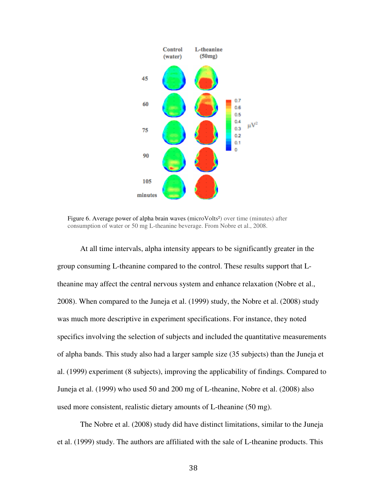

Figure 6. Average power of alpha brain waves (microVolts<sup>2</sup>) over time (minutes) after consumption of water or 50 mg L-theanine beverage. From Nobre et al., 2008.

At all time intervals, alpha intensity appears to be significantly greater in the group consuming L-theanine compared to the control. These results support that Ltheanine may affect the central nervous system and enhance relaxation (Nobre et al., 2008). When compared to the Juneja et al. (1999) study, the Nobre et al. (2008) study was much more descriptive in experiment specifications. For instance, they noted specifics involving the selection of subjects and included the quantitative measurements specifics involving the selection of subjects and included the quantitative measurements<br>of alpha bands. This study also had a larger sample size (35 subjects) than the Juneja et al. (1999) experiment (8 subjects), improving the applicability of findings. Compared to Juneja et al. (1999) who used 50 and 200 mg of L L-theanine, Nobre et al. (2008) also used more consistent, realistic dietary amounts of L-theanine (50 mg).

The Nobre et al. (2008) study did have distinct limitations, similar to the Juneja et al. (1999) study. The authors are affiliated with the sale of L-theanine products. This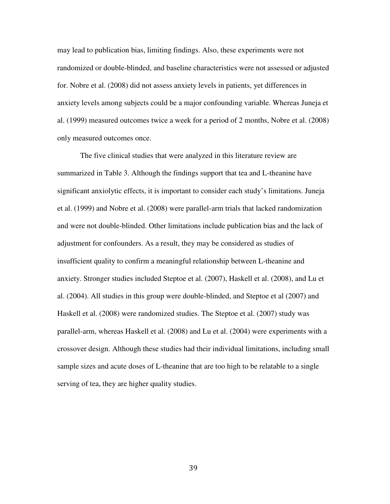may lead to publication bias, limiting findings. Also, these experiments were not randomized or double-blinded, and baseline characteristics were not assessed or adjusted for. Nobre et al. (2008) did not assess anxiety levels in patients, yet differences in anxiety levels among subjects could be a major confounding variable. Whereas Juneja et al. (1999) measured outcomes twice a week for a period of 2 months, Nobre et al. (2008) only measured outcomes once.

The five clinical studies that were analyzed in this literature review are summarized in Table 3. Although the findings support that tea and L-theanine have significant anxiolytic effects, it is important to consider each study's limitations. Juneja et al. (1999) and Nobre et al. (2008) were parallel-arm trials that lacked randomization and were not double-blinded. Other limitations include publication bias and the lack of adjustment for confounders. As a result, they may be considered as studies of insufficient quality to confirm a meaningful relationship between L-theanine and anxiety. Stronger studies included Steptoe et al. (2007), Haskell et al. (2008), and Lu et al. (2004). All studies in this group were double-blinded, and Steptoe et al (2007) and Haskell et al. (2008) were randomized studies. The Steptoe et al. (2007) study was parallel-arm, whereas Haskell et al. (2008) and Lu et al. (2004) were experiments with a crossover design. Although these studies had their individual limitations, including small sample sizes and acute doses of L-theanine that are too high to be relatable to a single serving of tea, they are higher quality studies.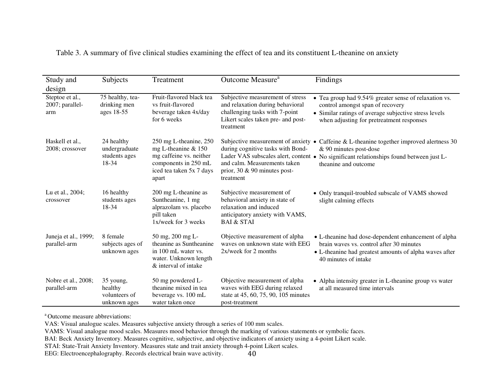| Study and<br>design                       | Subjects                                              | Treatment                                                                                                                             | Outcome Measure <sup>a</sup>                                                                                                                                                                   | Findings                                                                                                                                                                                        |
|-------------------------------------------|-------------------------------------------------------|---------------------------------------------------------------------------------------------------------------------------------------|------------------------------------------------------------------------------------------------------------------------------------------------------------------------------------------------|-------------------------------------------------------------------------------------------------------------------------------------------------------------------------------------------------|
| Steptoe et al.,<br>2007; parallel-<br>arm | 75 healthy, tea-<br>drinking men<br>ages 18-55        | Fruit-flavored black tea<br>vs fruit-flavored<br>beverage taken 4x/day<br>for 6 weeks                                                 | Subjective measurement of stress<br>and relaxation during behavioral<br>challenging tasks with 7-point<br>Likert scales taken pre- and post-<br>treatment                                      | • Tea group had 9.54% greater sense of relaxation vs.<br>control amongst span of recovery<br>• Similar ratings of average subjective stress levels<br>when adjusting for pretreatment responses |
| Haskell et al.,<br>2008; crossover        | 24 healthy<br>undergraduate<br>students ages<br>18-34 | 250 mg L-theanine, 250<br>mg L-theanine & 150<br>mg caffeine vs. neither<br>components in 250 mL<br>iced tea taken 5x 7 days<br>apart | Subjective measurement of anxiety<br>during cognitive tasks with Bond-<br>Lader VAS subscales alert, content .<br>and calm. Measurements taken<br>prior, $30 \& 90$ minutes post-<br>treatment | Caffeine & L-theanine together improved alertness 30<br>$\bullet$<br>& 90 minutes post-dose<br>No significant relationships found between just L-<br>theanine and outcome                       |
| Lu et al., 2004;<br>crossover             | 16 healthy<br>students ages<br>18-34                  | 200 mg L-theanine as<br>Suntheanine, 1 mg<br>alprazolam vs. placebo<br>pill taken<br>1x/week for 3 weeks                              | Subjective measurement of<br>behavioral anxiety in state of<br>relaxation and induced<br>anticipatory anxiety with VAMS,<br><b>BAI &amp; STAI</b>                                              | • Only tranquil-troubled subscale of VAMS showed<br>slight calming effects                                                                                                                      |
| Juneja et al., 1999;<br>parallel-arm      | 8 female<br>subjects ages of<br>unknown ages          | 50 mg, 200 mg L-<br>theanine as Suntheanine<br>in 100 mL water vs.<br>water. Unknown length<br>& interval of intake                   | Objective measurement of alpha<br>waves on unknown state with EEG<br>2x/week for 2 months                                                                                                      | • L-theanine had dose-dependent enhancement of alpha<br>brain waves vs. control after 30 minutes<br>• L-theanine had greatest amounts of alpha waves after<br>40 minutes of intake              |
| Nobre et al., 2008;<br>parallel-arm       | 35 young,<br>healthy<br>volunteers of<br>unknown ages | 50 mg powdered L-<br>theanine mixed in tea<br>beverage vs. 100 mL<br>water taken once                                                 | Objective measurement of alpha<br>waves with EEG during relaxed<br>state at 45, 60, 75, 90, 105 minutes<br>post-treatment                                                                      | • Alpha intensity greater in L-theanine group vs water<br>at all measured time intervals                                                                                                        |

Table 3. A summary of five clinical studies examining the effect of tea and its constituent L-theanine on anxiety

<sup>a</sup> Outcome measure abbreviations:

VAS: Visual analogue scales. Measures subjective anxiety through a series of 100 mm scales.

VAMS: Visual analogue mood scales. Measures mood behavior through the marking of various statements or symbolic faces.

BAI: Beck Anxiety Inventory. Measures cognitive, subjective, and objective indicators of anxiety using a 4-point Likert scale.

STAI: State-Trait Anxiety Inventory. Measures state and trait anxiety through 4-point Likert scales.

EEG: Electroencephalography. Records electrical brain wave activity.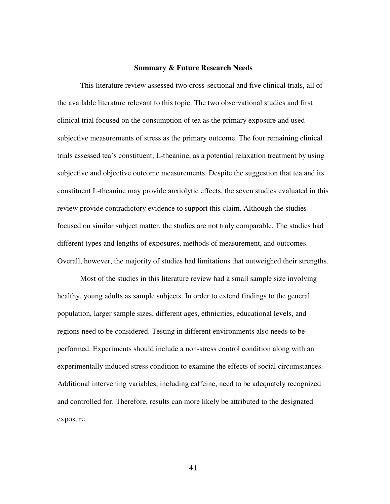#### **Summary & Future Research Needs**

This literature review assessed two cross-sectional and five clinical trials, all of the available literature relevant to this topic. The two observational studies and first clinical trial focused on the consumption of tea as the primary exposure and used subjective measurements of stress as the primary outcome. The four remaining clinical trials assessed tea's constituent, L-theanine, as a potential relaxation treatment by using subjective and objective outcome measurements. Despite the suggestion that tea and its constituent L-theanine may provide anxiolytic effects, the seven studies evaluated in this review provide contradictory evidence to support this claim. Although the studies focused on similar subject matter, the studies are not truly comparable. The studies had different types and lengths of exposures, methods of measurement, and outcomes. Overall, however, the majority of studies had limitations that outweighed their strengths.

Most of the studies in this literature review had a small sample size involving healthy, young adults as sample subjects. In order to extend findings to the general population, larger sample sizes, different ages, ethnicities, educational levels, and regions need to be considered. Testing in different environments also needs to be performed. Experiments should include a non-stress control condition along with an experimentally induced stress condition to examine the effects of social circumstances. Additional intervening variables, including caffeine, need to be adequately recognized and controlled for. Therefore, results can more likely be attributed to the designated exposure.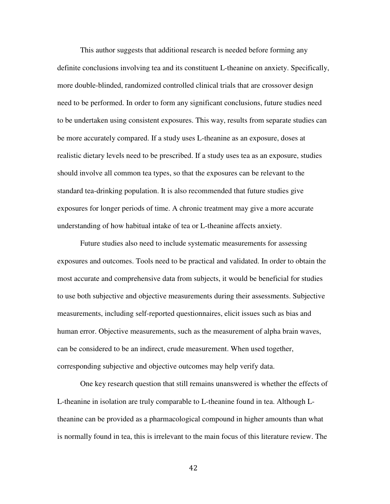This author suggests that additional research is needed before forming any definite conclusions involving tea and its constituent L-theanine on anxiety. Specifically, more double-blinded, randomized controlled clinical trials that are crossover design need to be performed. In order to form any significant conclusions, future studies need to be undertaken using consistent exposures. This way, results from separate studies can be more accurately compared. If a study uses L-theanine as an exposure, doses at realistic dietary levels need to be prescribed. If a study uses tea as an exposure, studies should involve all common tea types, so that the exposures can be relevant to the standard tea-drinking population. It is also recommended that future studies give exposures for longer periods of time. A chronic treatment may give a more accurate understanding of how habitual intake of tea or L-theanine affects anxiety.

Future studies also need to include systematic measurements for assessing exposures and outcomes. Tools need to be practical and validated. In order to obtain the most accurate and comprehensive data from subjects, it would be beneficial for studies to use both subjective and objective measurements during their assessments. Subjective measurements, including self-reported questionnaires, elicit issues such as bias and human error. Objective measurements, such as the measurement of alpha brain waves, can be considered to be an indirect, crude measurement. When used together, corresponding subjective and objective outcomes may help verify data.

One key research question that still remains unanswered is whether the effects of L-theanine in isolation are truly comparable to L-theanine found in tea. Although Ltheanine can be provided as a pharmacological compound in higher amounts than what is normally found in tea, this is irrelevant to the main focus of this literature review. The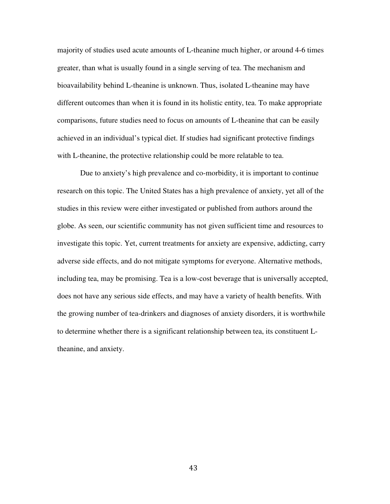majority of studies used acute amounts of L-theanine much higher, or around 4-6 times greater, than what is usually found in a single serving of tea. The mechanism and bioavailability behind L-theanine is unknown. Thus, isolated L-theanine may have different outcomes than when it is found in its holistic entity, tea. To make appropriate comparisons, future studies need to focus on amounts of L-theanine that can be easily achieved in an individual's typical diet. If studies had significant protective findings with L-theanine, the protective relationship could be more relatable to tea.

Due to anxiety's high prevalence and co-morbidity, it is important to continue research on this topic. The United States has a high prevalence of anxiety, yet all of the studies in this review were either investigated or published from authors around the globe. As seen, our scientific community has not given sufficient time and resources to investigate this topic. Yet, current treatments for anxiety are expensive, addicting, carry adverse side effects, and do not mitigate symptoms for everyone. Alternative methods, including tea, may be promising. Tea is a low-cost beverage that is universally accepted, does not have any serious side effects, and may have a variety of health benefits. With the growing number of tea-drinkers and diagnoses of anxiety disorders, it is worthwhile to determine whether there is a significant relationship between tea, its constituent Ltheanine, and anxiety.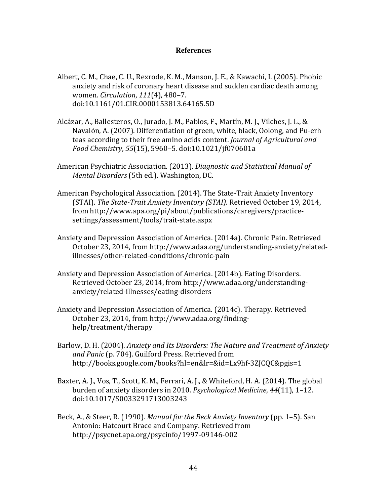# **References**

- Albert, C. M., Chae, C. U., Rexrode, K. M., Manson, J. E., & Kawachi, I. (2005). Phobic anxiety and risk of coronary heart disease and sudden cardiac death among women. Circulation, 111(4), 480–7. doi:10.1161/01.CIR.0000153813.64165.5D
- Alcázar, A., Ballesteros, O., Jurado, J. M., Pablos, F., Martín, M. J., Vilches, J. L., & Navalón, A. (2007). Differentiation of green, white, black, Oolong, and Pu-erh teas according to their free amino acids content. Journal of Agricultural and Food Chemistry, 55(15), 5960–5. doi:10.1021/jf070601a
- American Psychiatric Association. (2013). Diagnostic and Statistical Manual of Mental Disorders (5th ed.). Washington, DC.
- American Psychological Association. (2014). The State-Trait Anxiety Inventory (STAI). The State-Trait Anxiety Inventory (STAI). Retrieved October 19, 2014, from http://www.apa.org/pi/about/publications/caregivers/practicesettings/assessment/tools/trait-state.aspx
- Anxiety and Depression Association of America. (2014a). Chronic Pain. Retrieved October 23, 2014, from http://www.adaa.org/understanding-anxiety/relatedillnesses/other-related-conditions/chronic-pain
- Anxiety and Depression Association of America. (2014b). Eating Disorders. Retrieved October 23, 2014, from http://www.adaa.org/understandinganxiety/related-illnesses/eating-disorders
- Anxiety and Depression Association of America. (2014c). Therapy. Retrieved October 23, 2014, from http://www.adaa.org/findinghelp/treatment/therapy
- Barlow, D. H. (2004). Anxiety and Its Disorders: The Nature and Treatment of Anxiety and Panic (p. 704). Guilford Press. Retrieved from http://books.google.com/books?hl=en&lr=&id=Lx9hf-3ZJCQC&pgis=1
- Baxter, A. J., Vos, T., Scott, K. M., Ferrari, A. J., & Whiteford, H. A. (2014). The global burden of anxiety disorders in 2010. Psychological Medicine, 44(11), 1–12. doi:10.1017/S0033291713003243
- Beck, A., & Steer, R. (1990). Manual for the Beck Anxiety Inventory (pp. 1–5). San Antonio: Hatcourt Brace and Company. Retrieved from http://psycnet.apa.org/psycinfo/1997-09146-002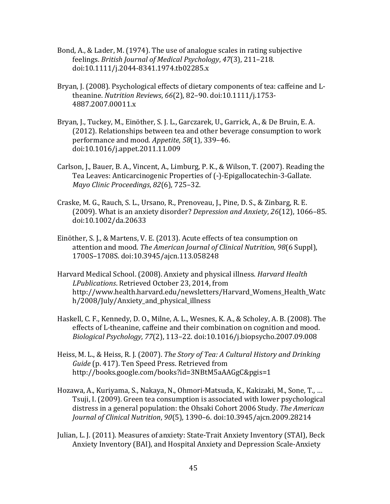- Bond, A., & Lader, M. (1974). The use of analogue scales in rating subjective feelings. British Journal of Medical Psychology, 47(3), 211–218. doi:10.1111/j.2044-8341.1974.tb02285.x
- Bryan, J. (2008). Psychological effects of dietary components of tea: caffeine and Ltheanine. Nutrition Reviews, 66(2), 82–90. doi:10.1111/j.1753- 4887.2007.00011.x
- Bryan, J., Tuckey, M., Einöther, S. J. L., Garczarek, U., Garrick, A., & De Bruin, E. A. (2012). Relationships between tea and other beverage consumption to work performance and mood. Appetite, 58(1), 339–46. doi:10.1016/j.appet.2011.11.009
- Carlson, J., Bauer, B. A., Vincent, A., Limburg, P. K., & Wilson, T. (2007). Reading the Tea Leaves: Anticarcinogenic Properties of (-)-Epigallocatechin-3-Gallate. Mayo Clinic Proceedings, 82(6), 725–32.
- Craske, M. G., Rauch, S. L., Ursano, R., Prenoveau, J., Pine, D. S., & Zinbarg, R. E. (2009). What is an anxiety disorder? Depression and Anxiety, 26(12), 1066–85. doi:10.1002/da.20633
- Einöther, S. J., & Martens, V. E. (2013). Acute effects of tea consumption on attention and mood. The American Journal of Clinical Nutrition, 98(6 Suppl), 1700S–1708S. doi:10.3945/ajcn.113.058248
- Harvard Medical School. (2008). Anxiety and physical illness. Harvard Health LPublications. Retrieved October 23, 2014, from http://www.health.harvard.edu/newsletters/Harvard\_Womens\_Health\_Watc h/2008/July/Anxiety\_and\_physical\_illness
- Haskell, C. F., Kennedy, D. O., Milne, A. L., Wesnes, K. A., & Scholey, A. B. (2008). The effects of L-theanine, caffeine and their combination on cognition and mood. Biological Psychology, 77(2), 113–22. doi:10.1016/j.biopsycho.2007.09.008
- Heiss, M. L., & Heiss, R. J. (2007). The Story of Tea: A Cultural History and Drinking Guide (p. 417). Ten Speed Press. Retrieved from http://books.google.com/books?id=3NBtM5aAAGgC&pgis=1
- Hozawa, A., Kuriyama, S., Nakaya, N., Ohmori-Matsuda, K., Kakizaki, M., Sone, T., … Tsuji, I. (2009). Green tea consumption is associated with lower psychological distress in a general population: the Ohsaki Cohort 2006 Study. The American Journal of Clinical Nutrition, 90(5), 1390–6. doi:10.3945/ajcn.2009.28214
- Julian, L. J. (2011). Measures of anxiety: State-Trait Anxiety Inventory (STAI), Beck Anxiety Inventory (BAI), and Hospital Anxiety and Depression Scale-Anxiety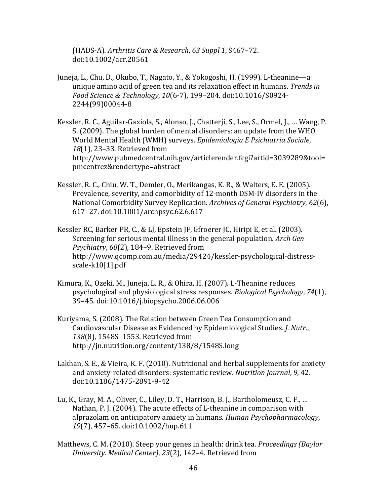(HADS-A). Arthritis Care & Research, 63 Suppl 1, S467–72. doi:10.1002/acr.20561

- Juneja, L., Chu, D., Okubo, T., Nagato, Y., & Yokogoshi, H. (1999). L-theanine—a unique amino acid of green tea and its relaxation effect in humans. Trends in Food Science & Technology, 10(6-7), 199–204. doi:10.1016/S0924- 2244(99)00044-8
- Kessler, R. C., Aguilar-Gaxiola, S., Alonso, J., Chatterji, S., Lee, S., Ormel, J., … Wang, P. S. (2009). The global burden of mental disorders: an update from the WHO World Mental Health (WMH) surveys. Epidemiologia E Psichiatria Sociale, 18(1), 23–33. Retrieved from http://www.pubmedcentral.nih.gov/articlerender.fcgi?artid=3039289&tool= pmcentrez&rendertype=abstract
- Kessler, R. C., Chiu, W. T., Demler, O., Merikangas, K. R., & Walters, E. E. (2005). Prevalence, severity, and comorbidity of 12-month DSM-IV disorders in the National Comorbidity Survey Replication. Archives of General Psychiatry, 62(6), 617–27. doi:10.1001/archpsyc.62.6.617
- Kessler RC, Barker PR, C., & LJ, Epstein JF, Gfroerer JC, Hiripi E, et al. (2003). Screening for serious mental illness in the general population. Arch Gen Psychiatry, 60(2), 184–9. Retrieved from http://www.qcomp.com.au/media/29424/kessler-psychological-distressscale-k10[1].pdf
- Kimura, K., Ozeki, M., Juneja, L. R., & Ohira, H. (2007). L-Theanine reduces psychological and physiological stress responses. Biological Psychology, 74(1), 39–45. doi:10.1016/j.biopsycho.2006.06.006
- Kuriyama, S. (2008). The Relation between Green Tea Consumption and Cardiovascular Disease as Evidenced by Epidemiological Studies. J. Nutr., 138(8), 1548S–1553. Retrieved from http://jn.nutrition.org/content/138/8/1548S.long
- Lakhan, S. E., & Vieira, K. F. (2010). Nutritional and herbal supplements for anxiety and anxiety-related disorders: systematic review. Nutrition Journal, 9, 42. doi:10.1186/1475-2891-9-42
- Lu, K., Gray, M. A., Oliver, C., Liley, D. T., Harrison, B. J., Bartholomeusz, C. F., … Nathan, P. J. (2004). The acute effects of L-theanine in comparison with alprazolam on anticipatory anxiety in humans. Human Psychopharmacology, 19(7), 457–65. doi:10.1002/hup.611
- Matthews, C. M. (2010). Steep your genes in health: drink tea. Proceedings (Baylor University. Medical Center), 23(2), 142–4. Retrieved from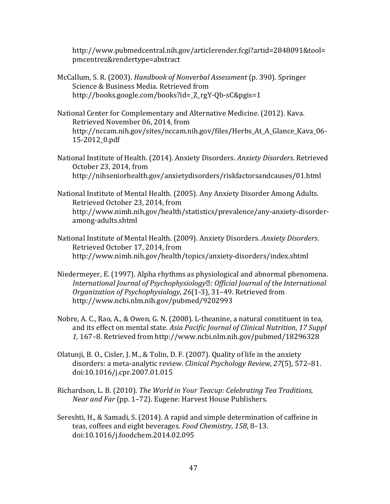http://www.pubmedcentral.nih.gov/articlerender.fcgi?artid=2848091&tool= pmcentrez&rendertype=abstract

- McCallum, S. R. (2003). Handbook of Nonverbal Assessment (p. 390). Springer Science & Business Media. Retrieved from http://books.google.com/books?id=\_Z\_rgY-Qb-sC&pgis=1
- National Center for Complementary and Alternative Medicine. (2012). Kava. Retrieved November 06, 2014, from http://nccam.nih.gov/sites/nccam.nih.gov/files/Herbs\_At\_A\_Glance\_Kava\_06- 15-2012\_0.pdf
- National Institute of Health. (2014). Anxiety Disorders. Anxiety Disorders. Retrieved October 23, 2014, from http://nihseniorhealth.gov/anxietydisorders/riskfactorsandcauses/01.html
- National Institute of Mental Health. (2005). Any Anxiety Disorder Among Adults. Retrieved October 23, 2014, from http://www.nimh.nih.gov/health/statistics/prevalence/any-anxiety-disorderamong-adults.shtml
- National Institute of Mental Health. (2009). Anxiety Disorders. Anxiety Disorders. Retrieved October 17, 2014, from http://www.nimh.nih.gov/health/topics/anxiety-disorders/index.shtml
- Niedermeyer, E. (1997). Alpha rhythms as physiological and abnormal phenomena. International Journal of Psychophysiology : Official Journal of the International Organization of Psychophysiology, 26(1-3), 31–49. Retrieved from http://www.ncbi.nlm.nih.gov/pubmed/9202993
- Nobre, A. C., Rao, A., & Owen, G. N. (2008). L-theanine, a natural constituent in tea, and its effect on mental state. Asia Pacific Journal of Clinical Nutrition, 17 Suppl 1, 167–8. Retrieved from http://www.ncbi.nlm.nih.gov/pubmed/18296328
- Olatunji, B. O., Cisler, J. M., & Tolin, D. F. (2007). Quality of life in the anxiety disorders: a meta-analytic review. Clinical Psychology Review, 27(5), 572–81. doi:10.1016/j.cpr.2007.01.015
- Richardson, L. B. (2010). The World in Your Teacup: Celebrating Tea Traditions, Near and Far (pp. 1–72). Eugene: Harvest House Publishers.
- Sereshti, H., & Samadi, S. (2014). A rapid and simple determination of caffeine in teas, coffees and eight beverages. Food Chemistry, 158, 8–13. doi:10.1016/j.foodchem.2014.02.095